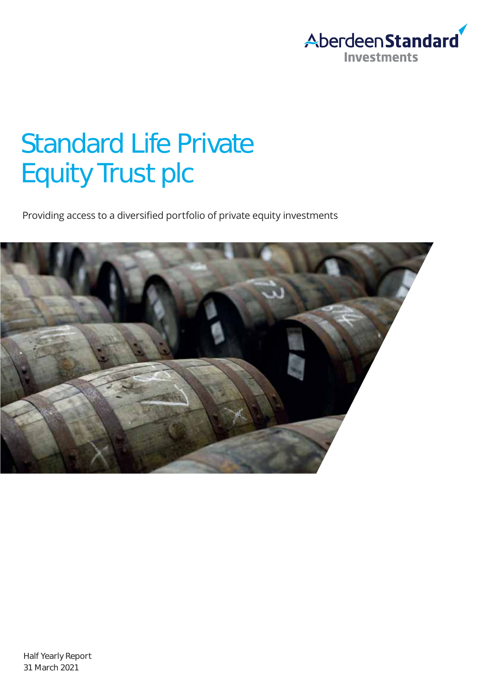

# Standard Life Private Equity Trust plc

Providing access to a diversified portfolio of private equity investments



Half Yearly Report 31 March 2021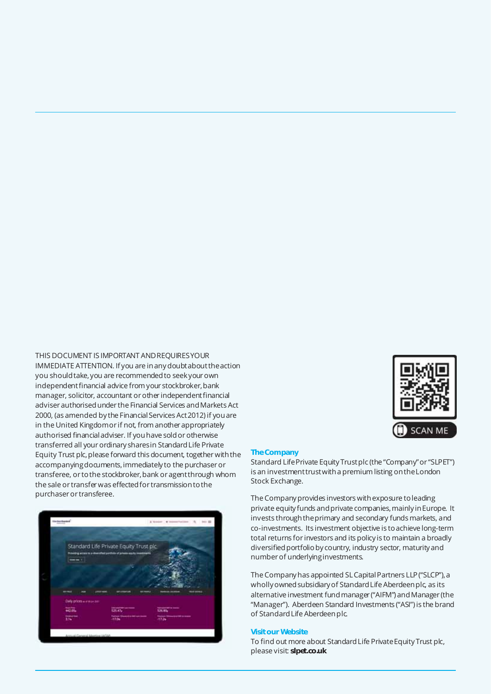THIS DOCUMENT IS IMPORTANT AND REQUIRES YOUR IMMEDIATE ATTENTION. If you are in any doubt about the action you should take, you are recommended to seek your own independent financial advice from your stockbroker, bank manager, solicitor, accountant or other independent financial adviser authorised under the Financial Services and Markets Act 2000, (as amended by the Financial Services Act 2012) if you are in the United Kingdom or if not, from another appropriately authorised financial adviser. If you have sold or otherwise transferred all your ordinary shares in Standard Life Private Equity Trust plc, please forward this document, together with the accompanying documents, immediately to the purchaser or transferee, or to the stockbroker, bank or agent through whom the sale or transfer was effected for transmission to the purchaser or transferee.





#### **The Company**

Standard Life Private Equity Trust plc (the "Company" or "SLPET") is an investment trust with a premium listing on the London Stock Exchange.

The Company provides investors with exposure to leading private equity funds and private companies, mainly in Europe. It invests through the primary and secondary funds markets, and co-investments. Its investment objective is to achieve long-term total returns for investors and its policy is to maintain a broadly diversified portfolio by country, industry sector, maturity and number of underlying investments.

The Company has appointed SL Capital Partners LLP ("SLCP"), a wholly owned subsidiary of Standard Life Aberdeen plc, as its alternative investment fund manager ("AIFM") and Manager (the "Manager"). Aberdeen Standard Investments ("ASI") is the brand of Standard Life Aberdeen plc.

#### **Visit our Website**

To find out more about Standard Life Private Equity Trust plc, please visit: **slpet.co.uk**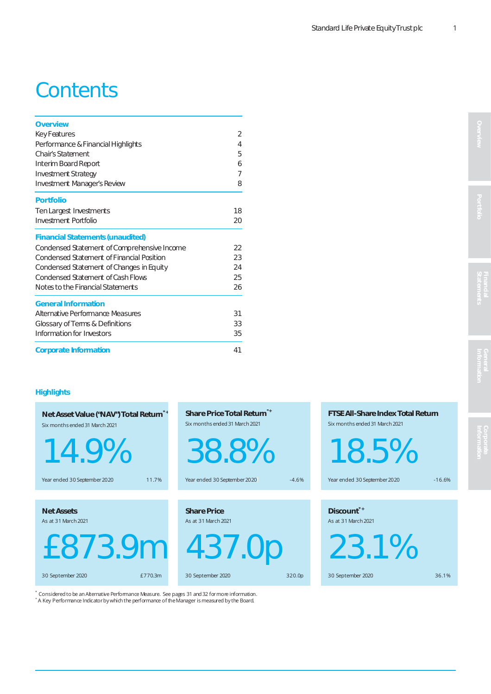### **Contents**

| <b>Overview</b>                             |    |
|---------------------------------------------|----|
| Key Features                                | 2  |
| Performance & Financial Highlights          | 4  |
| Chair's Statement                           | 5  |
| Interim Board Report                        | 6  |
| <b>Investment Strategy</b>                  | 7  |
| Investment Manager's Review                 | 8  |
| <b>Portfolio</b>                            |    |
| Ten Largest Investments                     | 18 |
| Investment Portfolio                        | 20 |
| <b>Financial Statements (unaudited)</b>     |    |
| Condensed Statement of Comprehensive Income | 22 |
| Condensed Statement of Financial Position   | 23 |
| Condensed Statement of Changes in Equity    | 24 |
| Condensed Statement of Cash Flows           | 25 |
| Notes to the Financial Statements           | 26 |
| <b>General Information</b>                  |    |
| Alternative Performance Measures            | 31 |
| Glossary of Terms & Definitions             | 33 |
| Information for Investors                   | 35 |
| <b>Corporate Information</b>                | 41 |

#### **Highlights**

| Net Asset Value ("NAV") Total Return*+ | Share Price Total Return <sup>*+</sup> | <b>FTSE All-Share Index Total Return</b> |
|----------------------------------------|----------------------------------------|------------------------------------------|
| Six months ended 31 March 2021         | Six months ended 31 March 2021         | Six months ended 31 March 2021           |
| 49%                                    |                                        | 18.5%                                    |
| Year ended 30 September 2020           | Year ended 30 September 2020           | Year ended 30 September 2020             |
| 11.7%                                  | $-4.6%$                                | $-16.6%$                                 |
|                                        |                                        |                                          |
| <b>Net Assets</b>                      | <b>Share Price</b>                     | Discount <sup>*+</sup>                   |
| As at 31 March 2021                    | As at 31 March 2021                    | As at 31 March 2021                      |
| £8/3.9m                                | 437.00                                 | $23.1\%$                                 |
| 30 September 2020                      | 30 September 2020                      | 30 September 2020                        |
| £770.3m                                | 320.0p                                 | 36.1%                                    |

\* Considered to be an Alternative Performance Measure. See pages 31 and 32 for more information. + A Key Performance Indicator by which the performance of the Manager is measured by the Board.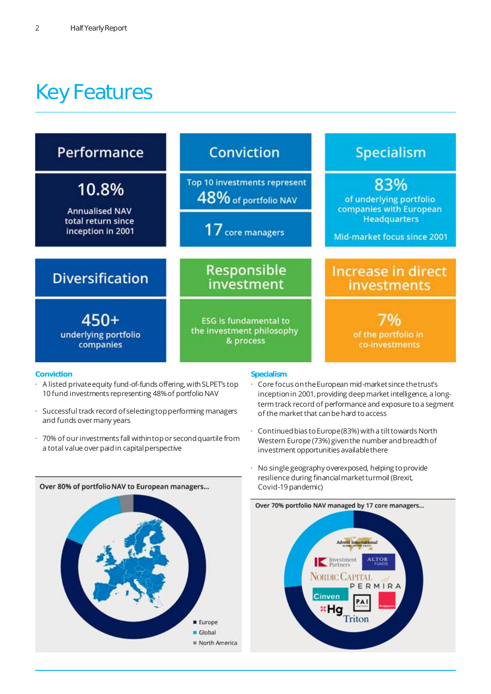# Key Features



#### **Conviction**

- · A listed private equity fund-of-funds offering, with SLPET's top 10 fund investments representing 48% of portfolio NAV
- · Successful track record of selecting top performing managers and funds over many years
- · 70% of our investments fall within top or second quartile from a total value over paid in capital perspective



#### **Specialism**

- · Core focus on the European mid-market since the trust's inception in 2001, providing deep market intelligence, a longterm track record of performance and exposure to a segment of the market that can be hard to access
- · Continued bias to Europe (83%) with a tilt towards North Western Europe (73%) given the number and breadth of investment opportunities available there
- · No single geography overexposed, helping to provide resilience during financial market turmoil (Brexit, Covid-19 pandemic)

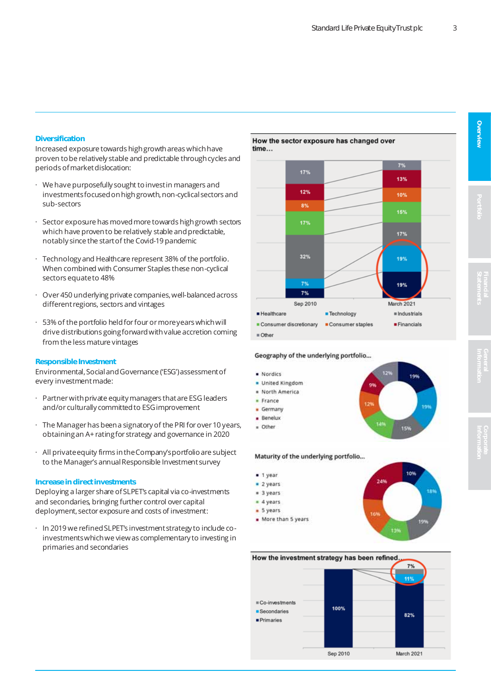#### **Diversification**

Increased exposure towards high growth areas which have proven to be relatively stable and predictable through cycles and periods of market dislocation:

- · We have purposefully sought to invest in managers and investments focused on high growth, non-cyclical sectors and sub-sectors
- Sector exposure has moved more towards high growth sectors which have proven to be relatively stable and predictable, notably since the start of the Covid-19 pandemic
- · Technology and Healthcare represent 38% of the portfolio. When combined with Consumer Staples these non-cyclical sectors equate to 48%
- Over 450 underlying private companies, well-balanced across different regions, sectors and vintages
- 53% of the portfolio held for four or moreyears which will drive distributions going forward with value accretion coming from the less mature vintages

#### **Responsible Investment**

Environmental, Social and Governance ('ESG') assessment of every investment made:

- Partner with private equity managers that are ESG leaders and/or culturally committed to ESG improvement
- The Manager has been a signatory of the PRI for over 10 years, obtaining an A+ rating for strategy and governance in 2020
- · All private equity firms in the Company's portfolio are subject to the Manager's annual Responsible Investment survey

#### **Increase in direct investments**

Deploying a larger share of SLPET's capital via co-investments and secondaries, bringing further control over capital deployment, sector exposure and costs of investment:

· In 2019 we refined SLPET's investment strategy to include coinvestments which we view as complementary to investing in primaries and secondaries

#### How the sector exposure has changed over time...



Geography of the underlying portfolio...



Maturity of the underlying portfolio...



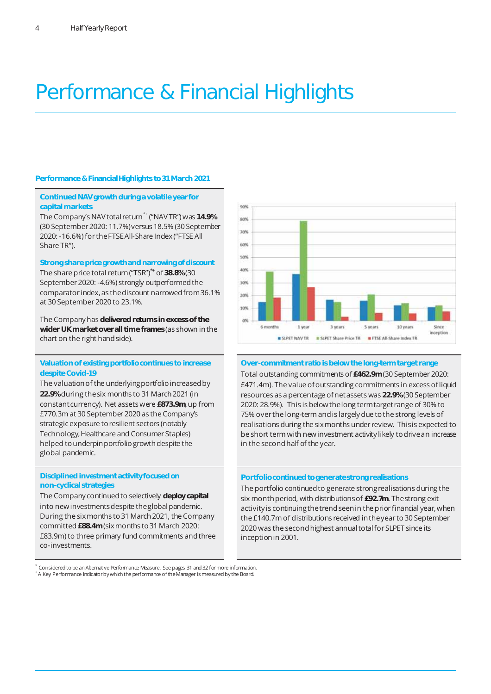## Performance & Financial Highlights

#### **Performance & Financial Highlights to 31 March 2021**

#### **Continued NAV growth during a volatile year for capital markets**

The Company's NAV total return\*+ ("NAV TR") was **14.9%** (30 September 2020: 11.7%) versus 18.5% (30 September 2020: -16.6%) for the FTSE All-Share Index ("FTSE All Share TR").

#### **Strong share price growth and narrowing of discount**  The share price total return ("TSR")\*+ of **38.8%** (30

September 2020: -4.6%) strongly outperformed the comparator index, as the discount narrowed from 36.1% at 30 September 2020 to 23.1%.

The Company has **delivered returns in excess of the wider UK market over all time frames** (as shown in the chart on the right hand side).

#### **Valuation of existing portfolio continues to increase despite Covid-19**

The valuation of the underlying portfolio increased by **22.9%** during the six months to 31 March 2021 (in constant currency). Net assets were **£873.9m**, up from £770.3m at 30 September 2020 as the Company's strategic exposure to resilient sectors (notably Technology, Healthcare and Consumer Staples) helped to underpin portfolio growth despite the global pandemic.

#### **Disciplined investment activity focused on non-cyclical strategies**

The Company continued to selectively **deploy capital** into new investments despite the global pandemic. During the six months to 31 March 2021, the Company committed**£88.4m** (six months to 31 March 2020: £83.9m) to three primary fund commitments and three co-investments.



#### **Over-commitment ratio is below the long-term target range**

Total outstanding commitments of **£462.9m** (30 September 2020: £471.4m). The value of outstanding commitments in excess of liquid resources as a percentage of net assets was **22.9%** (30 September 2020: 28.9%). This is below the long term target range of 30% to 75% over the long-term and is largely due to the strong levels of realisations during the six months under review. This is expected to be short term with new investment activity likely to drive an increase in the second half of the year.

#### **Portfolio continued to generate strong realisations**

The portfolio continued to generate strong realisations during the six month period, with distributions of **£92.7m**. The strong exit activity is continuing the trend seen in the prior financial year, when the £140.7m of distributions received in the year to 30 September 2020 was the second highest annual total for SLPET since its inception in 2001.

\* Considered to be an Alternative Performance Measure. See pages 31 and 32 for more information.  $^{\ast}$  A Key Performance Indicator by which the performance of the Manager is measured by the Board.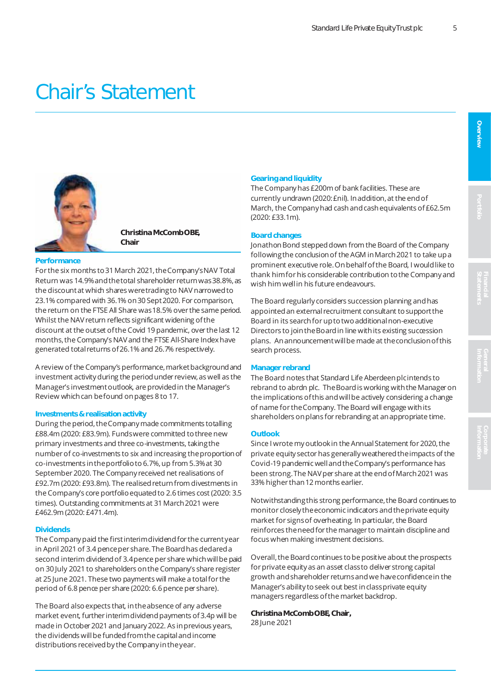### Chair's Statement



**Christina McComb OBE, Chair** 

#### **Performance**

For the six months to 31 March 2021, the Company's NAV Total Return was 14.9% and the total shareholder return was 38.8%, as the discount at which shares were trading to NAV narrowed to 23.1% compared with 36.1% on 30 Sept 2020. For comparison, the return on the FTSE All Share was 18.5% over the same period. Whilst the NAV return reflects significant widening of the discount at the outset of the Covid 19 pandemic, over the last 12 months, the Company's NAV and the FTSE All-Share Index have generated total returns of 26.1% and 26.7% respectively.

A review of the Company's performance, market background and investment activity during the period under review, as well as the Manager's investment outlook, are provided in the Manager's Review which can be found on pages 8 to 17.

#### **Investments & realisation activity**

During the period, the Company made commitments totalling £88.4m (2020: £83.9m). Funds were committed to three new primary investments and three co-investments, taking the number of co-investments to six and increasing the proportion of co-investments in the portfolio to 6.7%, up from 5.3% at 30 September 2020. The Company received net realisations of £92.7m (2020: £93.8m). The realised return from divestments in the Company's core portfolio equated to 2.6 times cost (2020: 3.5 times). Outstanding commitments at 31 March 2021 were £462.9m (2020: £471.4m).

#### **Dividends**

The Company paid the first interim dividend for the current year in April 2021 of 3.4 pence per share. The Board has dedared a second interim dividend of 3.4 pence per share which will be paid on 30 July 2021 to shareholders on the Company's share register at 25 June 2021. These two payments will make a total for the period of 6.8 pence per share (2020: 6.6 pence per share).

The Board also expects that, in the absence of any adverse market event, further interim dividend payments of 3.4p will be made in October 2021 and January 2022. As in previous years, the dividends will be funded from the capital and income distributions received by the Company in the year.

#### **Gearing and liquidity**

The Company has £200m of bank facilities. These are currently undrawn (2020: £nil). In addition, at the end of March, the Company had cash and cash equivalents of £62.5m (2020: £33.1m).

#### **Board changes**

Jonathon Bond stepped down from the Board of the Company following the conclusion of the AGM in March 2021 to take up a prominent executive role. On behalf of the Board, I would like to thank him for his considerable contribution to the Company and wish him well in his future endeavours.

The Board regularly considers succession planning and has appointed an external recruitment consultant to support the Board in its search for up to two additional non-executive Directors to join the Board in line with its existing succession plans. An announcement will be made at the conclusion of this search process.

#### **Manager rebrand**

The Board notes that Standard Life Aberdeen plc intends to rebrand to abrdn plc. The Board is working with the Manager on the implications of this and will be actively considering a change of name for the Company. The Board will engage with its shareholders on plans for rebranding at an appropriate time.

#### **Outlook**

Since I wrote my outlook in the Annual Statement for 2020, the private equity sector has generally weathered the impacts of the Covid-19 pandemic well and the Company's performance has been strong. The NAV per share at the end of March 2021 was 33% higher than 12 months earlier.

Notwithstanding this strong performance, the Board continues to monitor closely the economic indicators and the private equity market for signs of overheating. In particular, the Board reinforces the need for the manager to maintain discipline and focus when making investment decisions.

Overall, the Board continues to be positive about the prospects for private equity as an asset class to deliver strong capital growth and shareholder returns and we have confidence in the Manager's ability to seek out best in class private equity managers regardless of the market backdrop.

**Christina McComb OBE, Chair,** 28 June 2021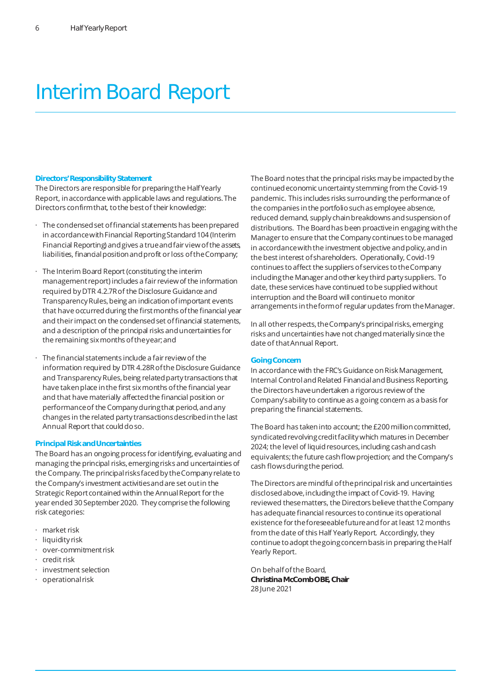### Interim Board Report

#### **Directors' Responsibility Statement**

The Directors are responsible for preparing the Half Yearly Report, in accordance with applicable laws and regulations. The Directors confirm that, to the best of their knowledge:

- · The condensed set of financial statements has been prepared in accordance with Financial Reporting Standard 104 (Interim Financial Reporting) and gives a true and fair view of the assets, liabilities, financial position and profit or loss of the Company;
- The Interim Board Report (constituting the interim management report) includes a fair review of the information required by DTR 4.2.7R of the Disclosure Guidance and Transparency Rules, being an indication of important events that have occurred during the first months of the financial year and their impact on the condensed set of financial statements, and a description of the principal risks and uncertainties for the remaining six months of the year; and
- · The financial statements include a fair review of the information required by DTR 4.28R of the Disclosure Guidance and Transparency Rules, being related party transactions that have taken place in the first six months of the financial year and that have materially affected the financial position or performance of the Company during that period, and any changes in the related party transactions described in the last Annual Report that could do so.

#### **Principal Risk and Uncertainties**

The Board has an ongoing process for identifying, evaluating and managing the principal risks, emerging risks and uncertainties of the Company. The principal risks faced by the Company relate to the Company's investment activities and are set out in the Strategic Report contained within the Annual Report for the year ended 30 September 2020. They comprise the following risk categories:

- · market risk
- · liquidity risk
- · over-commitment risk
- · credit risk
- · investment selection
- · operational risk

The Board notes that the principal risks may be impacted by the continued economic uncertainty stemming from the Covid-19 pandemic. This includes risks surrounding the performance of the companies in the portfolio such as employee absence, reduced demand, supply chain breakdowns and suspension of distributions. The Board has been proactive in engaging with the Manager to ensure that the Company continues to be managed in accordance with the investment objective and policy, and in the best interest of shareholders. Operationally, Covid-19 continues to affect the suppliers of services to the Company including the Manager and other key third party suppliers. To date, these services have continued to be supplied without interruption and the Board will continue to monitor arrangements in the form of regular updates from the Manager.

In all other respects, the Company's principal risks, emerging risks and uncertainties have not changed materially since the date of that Annual Report.

#### **Going Concern**

In accordance with the FRC's Guidance on Risk Management, Internal Control and Related Financial and Business Reporting, the Directors have undertaken a rigorous review of the Company's ability to continue as a going concern as a basis for preparing the financial statements.

The Board has taken into account; the £200 million committed, syndicated revolving credit facility which matures in December 2024; the level of liquid resources, including cash and cash equivalents; the future cash flow projection; and the Company's cash flows during the period.

The Directors are mindful of the principal risk and uncertainties disclosed above, including the impact of Covid-19. Having reviewed these matters, the Directors believe that the Company has adequate financial resources to continue its operational existence for the foreseeable future and for at least 12 months from the date of this Half Yearly Report. Accordingly, they continue to adopt the going concern basis in preparing the Half Yearly Report.

On behalf of the Board, **Christina McComb OBE, Chair** 28 June 2021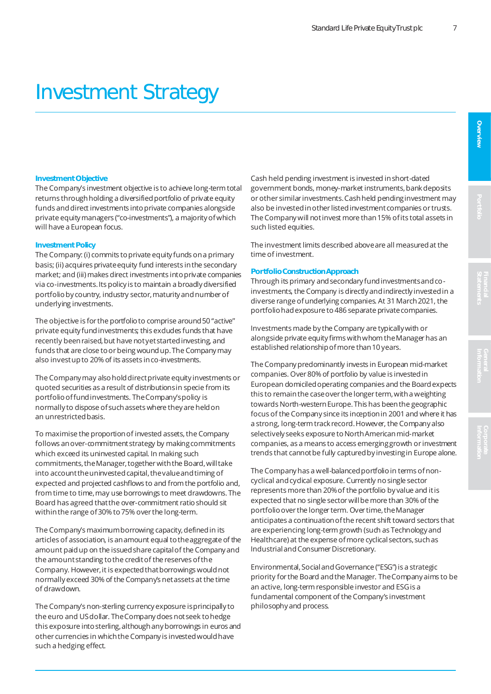### Investment Strategy Strategy

#### **Investment Objective**

The Company's investment objective is to achieve long-term total returns through holding a diversified portfolio of private equity funds and direct investments into private companies alongside private equity managers ("co-investments"), a majority of which will have a European focus.

#### **Investment Policy**

The Company: (i) commits to private equity funds on a primary basis; (ii) acquires private equity fund interests in the secondary market; and (iii) makes direct investments into private companies via co-investments. Its policy is to maintain a broadly diversified portfolio by country, industry sector, maturity and number of underlying investments.

The objective is for the portfolio to comprise around 50 ''active'' private equity fund investments; this exdudes funds that have recently been raised, but have not yet started investing, and funds that are close to or being wound up. The Company may also invest up to 20% of its assets in co-investments.

The Company may also hold direct private equity investments or quoted securities as a result of distributions in specie from its portfolio of fund investments. The Company's policy is normally to dispose of such assets where they are held on an unrestricted basis.

To maximise the proportion of invested assets, the Company follows an over-commitment strategy by making commitments which exceed its uninvested capital. In making such commitments, the Manager, together with the Board, will take into account the uninvested capital, the value and timing of expected and projected cashflows to and from the portfolio and, from time to time, may use borrowings to meet drawdowns. The Board has agreed that the over-commitment ratio should sit within the range of 30% to 75% over the long-term.

The Company's maximum borrowing capacity, defined in its articles of association, is an amount equal to the aggregate of the amount paid up on the issued share capital of the Company and the amount standing to the credit of the reserves of the Company. However, it is expected that borrowings would not normally exceed 30% of the Company's net assets at the time of drawdown.

The Company's non-sterling currency exposure is principally to the euro and US dollar. The Company does not seek to hedge this exposure into sterling, although any borrowings in euros and other currencies in which the Company is invested would have such a hedging effect.

Cash held pending investment is invested in short-dated government bonds, money-market instruments, bank deposits or other similar investments. Cash held pending investment may also be invested in other listed investment companies or trusts. The Company will not invest more than 15% of its total assets in such listed equities.

The investment limits described above are all measured at the time of investment.

#### **Portfolio Construction Approach**

Through its primary and secondary fund investments and coinvestments, the Company is directly and indirectly invested in a diverse range of underlying companies. At 31 March 2021, the portfolio had exposure to 486 separate private companies.

Investments made by the Company are typically with or alongside private equity firms with whom the Manager has an established relationship of more than 10 years.

The Company predominantly invests in European mid-market companies. Over 80% of portfolio by value is invested in European domiciled operating companies and the Board expects this to remain the case over the longer term, with a weighting towards North-western Europe. This has been the geographic focus of the Company since its inception in 2001 and where it has a strong, long-term track record. However, the Company also selectively seeks exposure to North American mid-market companies, as a means to access emerging growth or investment trends that cannot be fully captured by investing in Europe alone.

The Company has a well-balanced portfolio in terms of noncyclical and cyclical exposure. Currently no single sector represents more than 20% of the portfolio by value and it is expected that no single sector will be more than 30% of the portfolio over the longer term. Over time, the Manager anticipates a continuation of the recent shift toward sectors that are experiencing long-term growth (such as Technology and Healthcare) at the expense of more cyclical sectors, such as Industrial and Consumer Discretionary.

Environmental, Social and Governance ("ESG") is a strategic priority for the Board and the Manager. The Company aims to be an active, long-term responsible investor and ESG is a fundamental component of the Company's investment philosophy and process.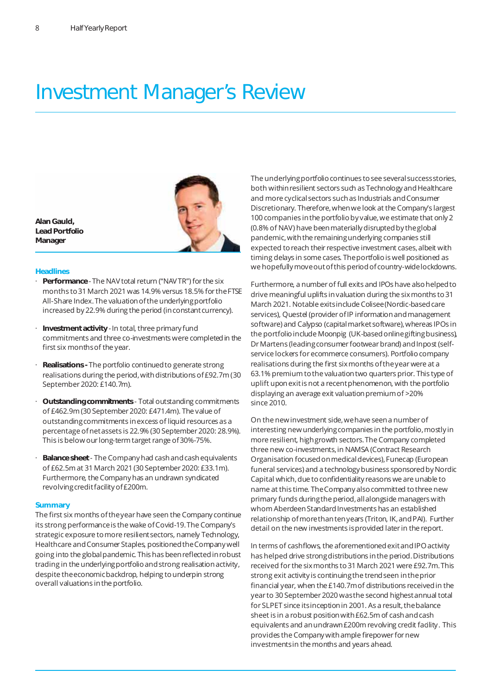### Investment Manager's Review

**Alan Gauld, Lead Portfolio Manager**



#### **Headlines**

- · **Performance** The NAV total return ("NAV TR") for the six months to 31 March 2021 was 14.9% versus 18.5% for the FTSE All-Share Index. The valuation of the underlying portfolio increased by 22.9% during the period (in constant currency).
- · **Investment activity** In total, three primary fund commitments and three co-investments were completed in the first six months of the year.
- · **Realisations** The portfolio continued to generate strong realisations during the period, with distributions of £92.7m (30 September 2020: £140.7m).
- · **Outstanding commitments** Total outstanding commitments of £462.9m (30 September 2020: £471.4m). The value of outstanding commitments in excess of liquid resources as a percentage of net assets is 22.9% (30 September 2020: 28.9%). This is below our long-term target range of 30%-75%.
- · **Balance sheet** The Company had cash and cash equivalents of £62.5m at 31 March 2021 (30 September 2020: £33.1m). Furthermore, the Company has an undrawn syndicated revolving credit facility of £200m.

#### **Summary**

The first six months of the year have seen the Company continue its strong performance is the wake of Covid-19. The Company's strategic exposure to more resilient sectors, namely Technology, Healthcare and Consumer Staples, positioned the Company well going into the global pandemic. This has been reflected in robust trading in the underlying portfolio and strong realisation activity, despite the economic backdrop, helping to underpin strong overall valuations in the portfolio.

The underlying portfolio continues to see several success stories, both within resilient sectors such as Technology and Healthcare and more cyclical sectors such as Industrials and Consumer Discretionary. Therefore, when we look at the Company's largest 100 companies in the portfolio by value, we estimate that only 2 (0.8% of NAV) have been materially disrupted by the global pandemic, with the remaining underlying companies still expected to reach their respective investment cases, albeit with timing delays in some cases. The portfolio is well positioned as we hopefully move out of this period of country-wide lockdowns.

Furthermore, a number of full exits and IPOs have also helped to drive meaningful uplifts in valuation during the six months to 31 March 2021. Notable exits include Colisee (Nordic-based care services), Questel (provider of IP information and management software) and Calypso (capital market software), whereas IPOs in the portfolio include Moonpig (UK-based online gifting business), Dr Martens (leading consumer footwear brand) and Inpost (selfservice lockers for ecommerce consumers). Portfolio company realisations during the first six months of the year were at a 63.1% premium to the valuation two quarters prior. This type of uplift upon exit is not a recent phenomenon, with the portfolio displaying an average exit valuation premium of >20% since 2010.

On the new investment side, we have seen a number of interesting new underlying companies in the portfolio, mostly in more resilient, high growth sectors. The Company completed three new co-investments, in NAMSA (Contract Research Organisation focused on medical devices), Funecap (European funeral services) and a technology business sponsored by Nordic Capital which, due to confidentiality reasons we are unable to name at this time. The Company also committed to three new primary funds during the period, all alongside managers with whom Aberdeen Standard Investments has an established relationship of more than ten years (Triton, IK, and PAI). Further detail on the new investments is provided later in the report.

In terms of cashflows, the aforementioned exit and IPO activity has helped drive strong distributions in the period. Distributions received for the six months to 31 March 2021 were £92.7m. This strong exit activity is continuing the trend seen in the prior financial year, when the £140.7m of distributions received in the year to 30 September 2020 was the second highest annual total for SLPET since its inception in 2001. As a result, the balance sheet is in a robust position with £62.5m of cash and cash equivalents and an undrawn £200m revolving credit facility. This provides the Company with ample firepower for new investments in the months and years ahead.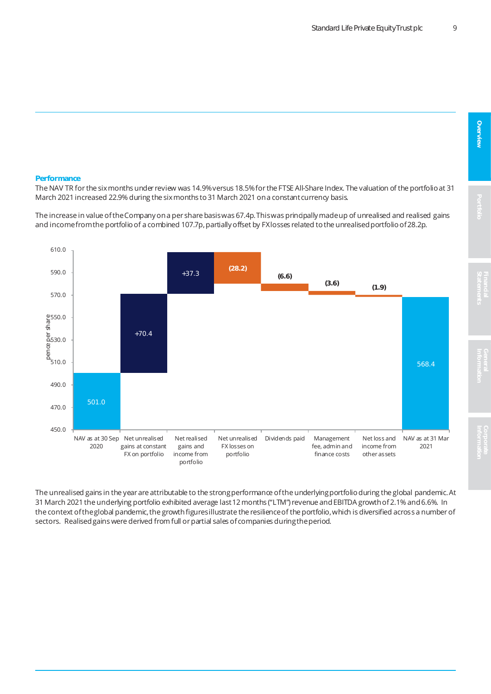#### **Performance**

The NAV TR for the six months under review was 14.9% versus 18.5% for the FTSE All-Share Index. The valuation of the portfolio at 31 March 2021 increased 22.9% during the six months to 31 March 2021 on a constant currency basis.

The increase in value of the Company on a per share basis was 67.4p. This was principally made up of unrealised and realised gains and income from the portfolio of a combined 107.7p, partially offset by FX losses related to the unrealised portfolio of 28.2p.



The unrealised gains in the year are attributable to the strong performance of the underlying portfolio during the global pandemic. At 31 March 2021 the underlying portfolio exhibited average last 12 months ("LTM") revenue and EBITDA growth of 2.1% and 6.6%. In the context of the global pandemic, the growth figures illustrate the resilience of the portfolio, which is diversified across a number of sectors. Realised gains were derived from full or partial sales of companies during the period.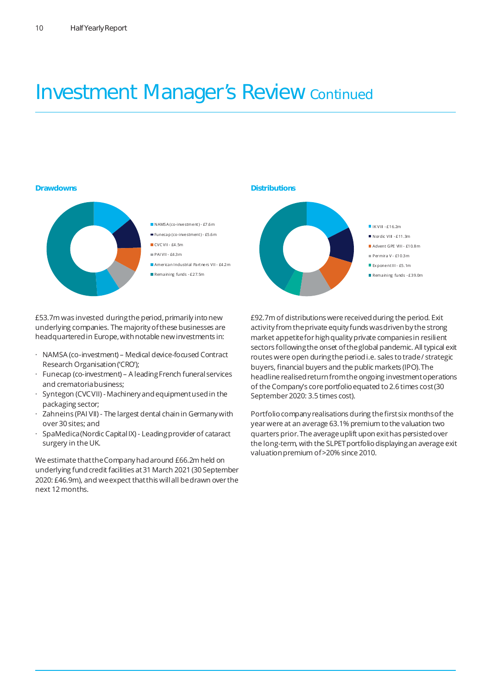### Investment Manager's Review Continued

#### **Drawdowns**



NAMSA (co-investment ) - £7.6m

- Funecap (co-investment) £5.6m
- $CVCVII f4.5m$
- PAI VII £4.3m
- American Industrial Part ners VII £4.2m Remaining funds - £27.5m

£53.7m was invested during the period, primarily into new underlying companies. The majority of these businesses are headquartered in Europe, with notable new investments in:

- · NAMSA (co-investment) Medical device-focused Contract Research Organisation ('CRO');
- · Funecap (co-investment) A leading French funeral services and crematoria business;
- · Syntegon (CVC VII) Machinery and equipment used in the packaging sector;
- Zahneins (PAI VII) The largest dental chain in Germany with over 30 sites; and
- · SpaMedica (Nordic Capital IX) Leading provider of cataract surgery in the UK.

We estimate that the Company had around £66.2m held on underlying fund credit facilities at 31 March 2021 (30 September 2020: £46.9m), and we expect that this will all be drawn over the next 12 months.

#### **Distributions**



£92.7m of distributions were received during the period. Exit activity from the private equity funds was driven by the strong market appetite for high quality private companies in resilient sectors following the onset of the global pandemic. All typical exit routes were open during the period i.e. sales to trade / strategic buyers, financial buyers and the public markets (IPO). The headline realised return from the ongoing investment operations of the Company's core portfolio equated to 2.6 times cost (30 September 2020: 3.5 times cost).

Portfolio company realisations during the first six months of the year were at an average 63.1% premium to the valuation two quarters prior. The average uplift upon exit has persisted over the long-term, with the SLPET portfolio displaying an average exit valuation premium of >20% since 2010.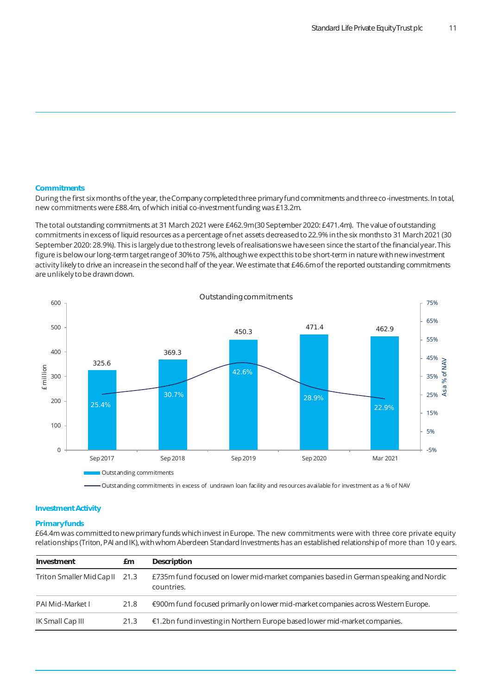#### **Commitments**

During the first six months of the year, the Company completed three primary fund commitments and three co-investments. In total, new commitments were £88.4m, of which initial co-investment funding was £13.2m.

The total outstanding commitments at 31 March 2021 were £462.9m (30 September 2020: £471.4m). The value of outstanding commitments in excess of liquid resources as a percentage of net assets decreased to 22.9% in the six months to 31 March 2021 (30 September 2020: 28.9%). This is largely due to the strong levels of realisations we have seen since the start of the financial year. This figure is below our long-term target range of 30% to 75%, although we expect this to be short-term in nature with new investment activity likely to drive an increase in the second half of the year. We estimate that £46.6m of the reported outstanding commitments are unlikely to be drawn down.



Outstanding commitments in excess of undrawn loan facility and resources available for investment as a % of NAV

#### **Investment Activity**

#### **Primary funds**

£64.4m was committed to new primary funds which invest in Europe. The new commitments were with three core private equity relationships (Triton, PAI and IK), with whom Aberdeen Standard Investments has an established relationship of more than 10 y ears.

| Investment                     | £m   | Description                                                                                        |
|--------------------------------|------|----------------------------------------------------------------------------------------------------|
| Triton Smaller Mid Cap II 21.3 |      | £735m fund focused on lower mid-market companies based in German speaking and Nordic<br>countries. |
| PAI Mid-Market I               | 21.8 | €900m fund focused primarily on lower mid-market companies across Western Europe.                  |
| IK Small Cap III               | 21.3 | €1.2bn fund investing in Northern Europe based lower mid-market companies.                         |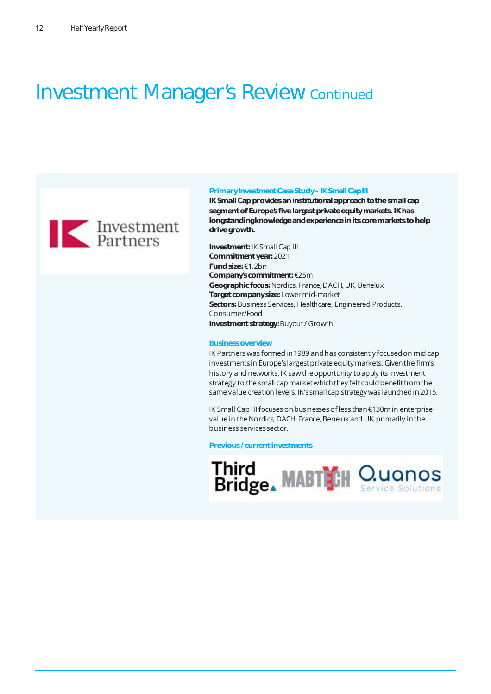### Investment Manager's Review Continued



#### **Primary Investment Case Study – IK Small Cap III**

**IK Small Cap provides an institutional approach to the small cap segment of Europe's five largest private equity markets. IK has longstanding knowledge and experience in its core markets to help drive growth.** 

**Investment:** IK Small Cap III **Commitment year:** 2021 **Fund size:** €1.2bn **Company's commitment:** €25m **Geographic focus:** Nordics, France, DACH, UK, Benelux **Target company size:** Lower mid-market **Sectors:** Business Services, Healthcare, Engineered Products, Consumer/Food **Investment strategy:** Buyout / Growth

#### **Business overview**

IK Partners was formed in 1989 and has consistently focused on mid cap investments in Europe's largest private equity markets. Given the firm's history and networks, IK saw the opportunity to apply its investment strategy to the small cap market which they felt could benefit from the same value creation levers. IK's small cap strategy was launched in 2015.

IK Small Cap III focuses on businesses of less than €130m in enterprise value in the Nordics, DACH, France, Benelux and UK, primarily in the business services sector.

**Previous / current investments**

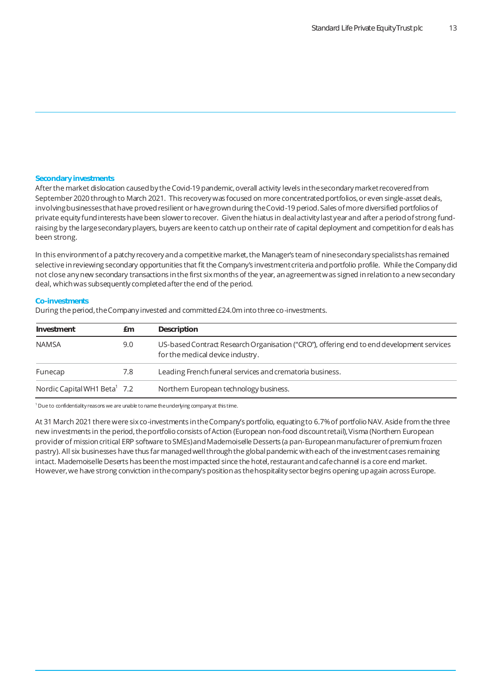#### **Secondary investments**

After the market dislocation caused by the Covid-19 pandemic, overall activity levels in the secondary market recovered from September 2020 through to March 2021. This recovery was focused on more concentrated portfolios, or even single-asset deals, involving businesses that have proved resilient or have grown during the Covid-19 period. Sales of more diversified portfolios of private equity fund interests have been slower to recover. Given the hiatus in deal activity last year and after a period of strong fundraising by the large secondary players, buyers are keen to catch up on their rate of capital deployment and competition for deals has been strong.

In this environment of a patchy recovery and a competitive market, the Manager's team of nine secondary specialists has remained selective in reviewing secondary opportunities that fit the Company's investment criteria and portfolio profile. While the Company did not close any new secondary transactions in the first six months of the year, an agreement was signed in relation to a new secondary deal, which was subsequently completed after the end of the period.

#### **Co-investments**

During the period, the Company invested and committed £24.0m into three co-investments.

| Investment                               | £m  | Description                                                                                                                   |
|------------------------------------------|-----|-------------------------------------------------------------------------------------------------------------------------------|
| <b>NAMSA</b>                             | 9.0 | US-based Contract Research Organisation ("CRO"), offering end to end development services<br>for the medical device industry. |
| Funecap                                  | 7.8 | Leading French funeral services and crematoria business.                                                                      |
| Nordic Capital WH1 Beta <sup>1</sup> 7.2 |     | Northern European technology business.                                                                                        |

 $1$  Due to confidentiality reasons we are unable to name the underlying company at this time.

At 31 March 2021 there were six co-investments in the Company's portfolio, equating to 6.7% of portfolio NAV. Aside from the three new investments in the period, the portfolio consists of Action (European non-food discount retail), Visma (Northern European provider of mission critical ERP software to SMEs) and Mademoiselle Desserts (a pan-European manufacturer of premium frozen pastry). All six businesses have thus far managed well through the global pandemic with each of the investment cases remaining intact. Mademoiselle Deserts has been the most impacted since the hotel, restaurant and cafe channel is a core end market. However, we have strong conviction in the company's position as the hospitality sector begins opening up again across Europe.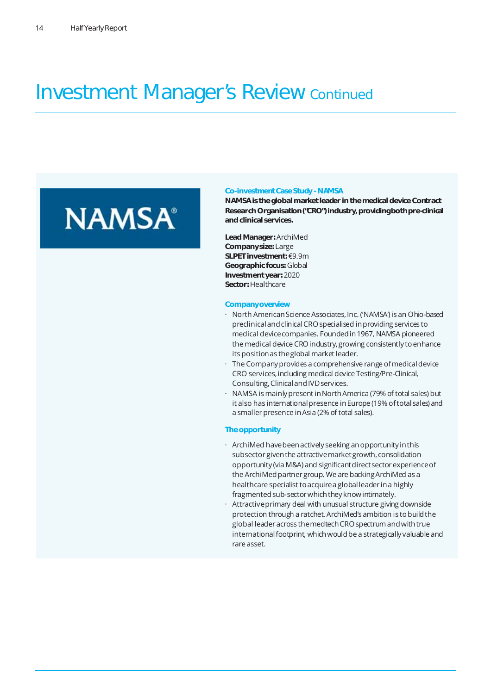### Investment Manager's Review Continued

# **NAMSA®**

#### **Co-investment Case Study - NAMSA**

**NAMSA is the global market leader in the medical device Contract Research Organisation ("CRO") industry, providing both pre-clinical and clinical services.** 

**Lead Manager:** ArchiMed **Company size:** Large **SLPET investment:** €9.9m **Geographic focus:** Global **Investment year:** 2020 **Sector:** Healthcare

#### **Company overview**

- · North American Science Associates, Inc. ('NAMSA') is an Ohio-based preclinical and clinical CRO specialised in providing services to medical device companies. Founded in 1967, NAMSA pioneered the medical device CRO industry, growing consistently to enhance its position as the global market leader.
- · The Company provides a comprehensive range of medical device CRO services, including medical device Testing/Pre-Clinical, Consulting, Clinical and IVD services.
- · NAMSA is mainly present in North America (79% of total sales) but it also has international presence in Europe (19% of total sales) and a smaller presence in Asia (2% of total sales).

#### **The opportunity**

- · ArchiMed have been actively seeking an opportunity in this subsector given the attractive market growth, consolidation opportunity (via M&A) and significant direct sector experience of the ArchiMed partner group. We are backing ArchiMed as a healthcare specialist to acquire a global leader in a highly fragmented sub-sector which they know intimately.
- Attractive primary deal with unusual structure giving downside protection through a ratchet. ArchiMed's ambition is to build the global leader across the medtech CRO spectrum and with true international footprint, which would be a strategically valuable and rare asset.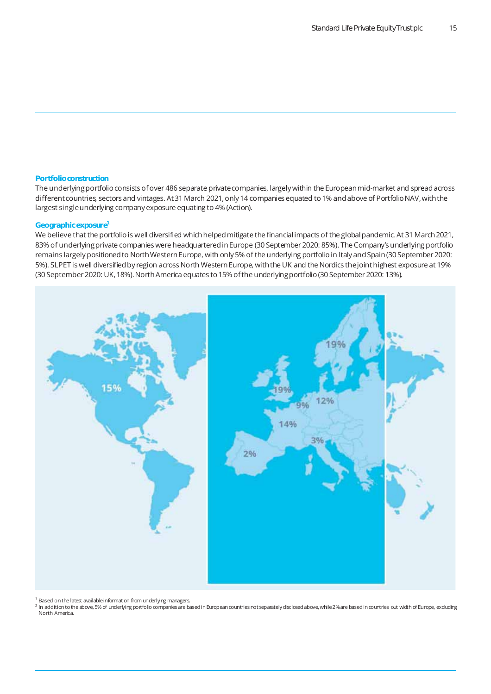#### **Portfolio construction**

The underlying portfolio consists of over 486 separate private companies, largely within the European mid-market and spread across different countries, sectors and vintages. At 31 March 2021, only 14 companies equated to 1% and above of Portfolio NAV, with the largest single underlying company exposure equating to 4% (Action).

#### **Geographic exposure1**

We believe that the portfolio is well diversified which helped mitigate the financial impacts of the global pandemic. At 31 March 2021, 83% of underlying private companies were headquartered in Europe (30 September 2020: 85%). The Company's underlying portfolio remains largely positioned to North Western Europe, with only 5% of the underlying portfolio in Italy and Spain (30 September 2020: 5%). SLPET is well diversified by region across North Western Europe, with the UK and the Nordics the joint highest exposure at 19% (30 September 2020: UK, 18%). North America equates to 15% of the underlying portfolio (30 September 2020: 13%).



<sup>1</sup> Based on the latest available information from underlying managers.

2 In addition to the above, 5% of underlying portfolio companies are based in European countries not separately disclosed above, while 2% are based in countries out width of Europe, excluding North America.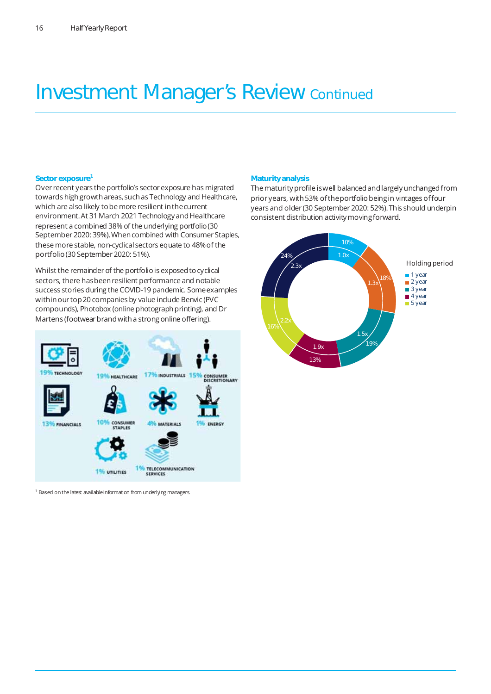### Investment Manager's Review Continued

#### Sector exposure<sup>1</sup>

Over recent years the portfolio's sector exposure has migrated towards high growth areas, such as Technology and Healthcare, which are also likely to be more resilient in the current environment. At 31 March 2021 Technology and Healthcare represent a combined 38% of the underlying portfolio (30 September 2020: 39%). When combined with Consumer Staples, these more stable, non-cyclical sectors equate to 48% of the portfolio (30 September 2020: 51%).

Whilst the remainder of the portfolio is exposed to cyclical sectors, there has been resilient performance and notable success stories during the COVID-19 pandemic. Some examples within our top 20 companies by value include Benvic (PVC compounds), Photobox (online photograph printing), and Dr Martens (footwear brand with a strong online offering).



<sup>1</sup> Based on the latest available information from underlying managers.

#### **Maturity analysis**

The maturity profile is well balanced and largely unchanged from prior years, with 53% of the portfolio being in vintages of four years and older (30 September 2020: 52%). This should underpin consistent distribution activity moving forward.

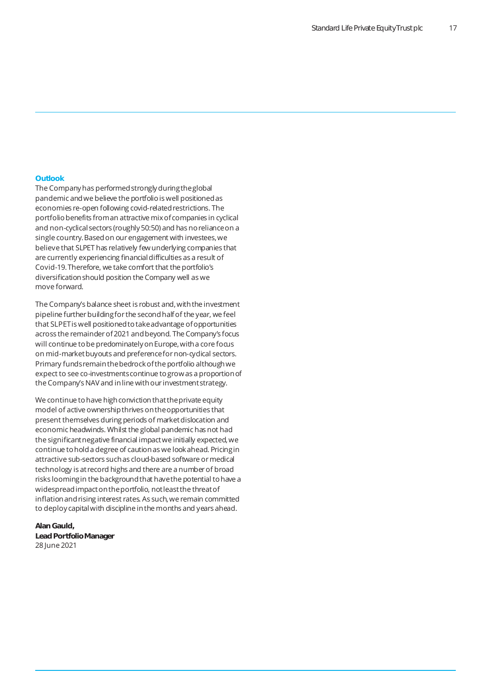#### **Outlook**

The Company has performed strongly during the global pandemic and we believe the portfolio is well positioned as economies re-open following covid-related restrictions. The portfolio benefits from an attractive mix of companies in cyclical and non-cyclical sectors (roughly 50:50) and has no reliance on a single country. Based on our engagement with investees, we believe that SLPET has relatively few underlying companies that are currently experiencing financial difficulties as a result of Covid-19. Therefore, we take comfort that the portfolio's diversification should position the Company well as we move forward.

The Company's balance sheet is robust and, with the investment pipeline further building for the second half of the year, we feel that SLPET is well positioned to take advantage of opportunities across the remainder of 2021 and beyond. The Company's focus will continue to be predominately on Europe, with a core focus on mid-market buyouts and preference for non-cydical sectors. Primary funds remain the bedrock of the portfolio although we expect to see co-investments continue to grow as a proportion of the Company's NAV and in line with our investment strategy.

We continue to have high conviction that the private equity model of active ownership thrives on the opportunities that present themselves during periods of market dislocation and economic headwinds. Whilst the global pandemic has not had the significant negative financial impact we initially expected, we continue to hold a degree of caution as we look ahead. Pricing in attractive sub-sectors such as cloud-based software or medical technology is at record highs and there are a number of broad risks looming in the background that have the potential to have a widespread impact on the portfolio, not least the threat of inflation and rising interest rates. As such, we remain committed to deploy capital with discipline in the months and years ahead.

**Alan Gauld, Lead Portfolio Manager** 28 June 2021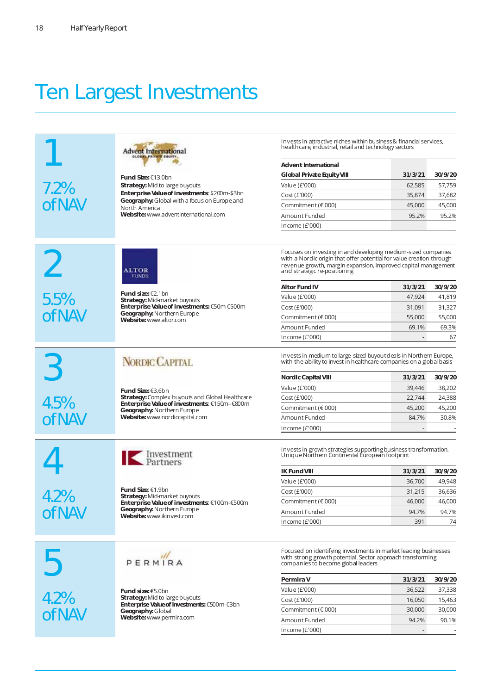# Ten Largest Investments

 Invests in attractive niches within business & financial services, 1 healthcare, industrial, retail and technology sectors **Advent International Advent International Global Private Equity VIII 31/3/21 30/9/20 Fund Size:** €13.0bn **Strategy:** Mid to large buyouts Value (£'000) 62,585 57,759 7.2% **Enterprise Value of investments**: \$200m-\$3bn Cost (£'000) 35,874 37,682 of NAV **Geography:** Global with a focus on Europe and Commitment (€'000) 45,000 45,000 North America **Website:** www.adventinternational.com Amount Funded 95.2% 95.2% Income  $(E'000)$ 2 Focuses on investing in and developing medium-sized companies with a Nordic origin that offer potential for value creation through revenue growth, margin expansion, improved capital management and strategic re-positioning ALTOR **FUNDS Altor Fund IV 31/3/21 30/9/20 Fund size:** €2.1bn Value (£'000) 47,924 41,819 5.5% **Strategy:** Mid-market buyouts **Enterprise Value of investments:** €50m-€500m Cost (£'000) 31,091 31,327 of NAV **Geography:** Northern Europe Commitment (€'000) 55,000 55,000 **Website:** www.altor.com Amount Funded 69.1% 69.3%  $Income (E'000)$  67 3 Invests in medium to large-sized buyout deals in Northern Europe, with the ability to invest in healthcare companies on a global basis **NORDIC CAPITAL Nordic Capital VIII 31/3/21 30/9/20**  Value (£'000) 39,446 38,202 **Fund Size:** €3.6bn **Strategy:** Complex buyouts and Global Healthcare Cost (£'000) 22,744 24,388 4.5% **Enterprise Value of investments**: €150m–€800m Commitment (€'000) 45,200 45,200 **Geography:** Northern Europe of NAV Amount Funded 84.7% 30.8% **Website:** www.nordiccapital.com  $Income (E'000)$ 4 Invests in growth strategies supporting business transformation. Unique Northern Continental European footprint Investment **IK Fund VIII 31/3/21 30/9/20**  Value (£'000) 36,700 49,948 **Fund Size**: €1.9bn Cost (£'000) 31,215 36,636 4.2% **Strategy:** Mid-market buyouts Commitment (€'000) 46,000 46,000 **Enterprise Value of investments**: €100m-€500m **Geography:** Northern Europe of NAV Amount Funded 94.7% 94.7% **Website:** www.ikinvest.com Income (£'000) 391 74 5 Focused on identifying investments in market leading businesses with strong growth potential. Sector approach transforming companies to become global leaders PERMIRA **Permira V 31/3/21 30/9/20**  Value (£'000) 36,522 37,338 **Fund size:** €5.0bn 4.2% **Strategy:** Mid to large buyouts Cost (£'000) 16,050 15,463 **Enterprise Value of investments:** €500m–€3bn Commitment (€'000) 30,000 30,000 **Geography:** Global of NAV **Website:** www.permira.com Amount Funded 80.1%

 $Income (E'000)$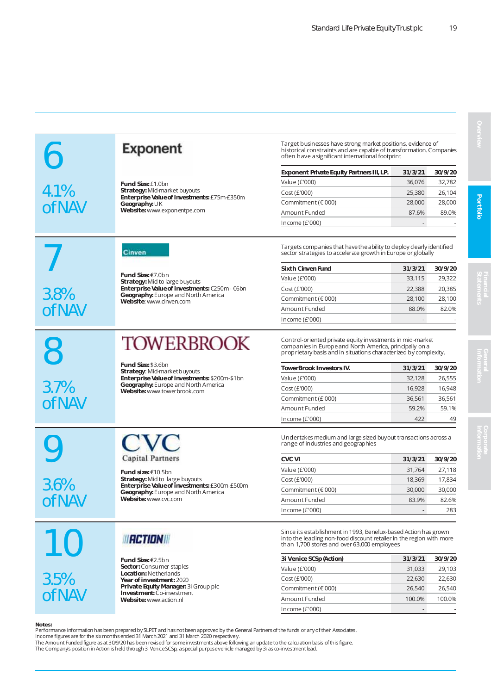|                                                                                                                         | <b>Exponent</b>                                                                | Target businesses have strong market positions, evidence of<br>historical constraints and are capable of transformation. Companies<br>often have a significant international footprint |              |         |  |  |  |
|-------------------------------------------------------------------------------------------------------------------------|--------------------------------------------------------------------------------|----------------------------------------------------------------------------------------------------------------------------------------------------------------------------------------|--------------|---------|--|--|--|
|                                                                                                                         |                                                                                | Exponent Private Equity Partners III, LP.                                                                                                                                              | 31/3/21      | 30/9/20 |  |  |  |
|                                                                                                                         | Fund Size: £1.0bn                                                              | Value (£'000)                                                                                                                                                                          | 36,076       | 32,782  |  |  |  |
| 4.1%                                                                                                                    | Strategy: Mid-market buyouts                                                   | Cost(E'000)                                                                                                                                                                            | 25,380       | 26,104  |  |  |  |
|                                                                                                                         | Enterprise Value of investments: £75m-£350m<br>Geography: UK                   | Commitment (€'000)                                                                                                                                                                     | 28,000       | 28,000  |  |  |  |
| of NAV                                                                                                                  | Website: www.exponentpe.com                                                    | Amount Funded                                                                                                                                                                          | 87.6%        | 89.0%   |  |  |  |
|                                                                                                                         |                                                                                | Income $(E'000)$                                                                                                                                                                       |              |         |  |  |  |
|                                                                                                                         | <b>Cinven</b>                                                                  | Targets companies that have the ability to deploy clearly identified<br>sector strategies to accelerate growth in Europe or globally                                                   |              |         |  |  |  |
|                                                                                                                         |                                                                                | Sixth Cinven Fund                                                                                                                                                                      | 31/3/21      | 30/9/20 |  |  |  |
|                                                                                                                         | Fund Size: €7.0bn<br>Strategy: Mid to large buyouts                            | Value (£'000)                                                                                                                                                                          | 33,115       | 29,322  |  |  |  |
|                                                                                                                         | Enterprise Value of investments: €250m- €6bn                                   | Cost(E'000)                                                                                                                                                                            | 22,388       | 20,385  |  |  |  |
| 3.8%                                                                                                                    | Geography: Europe and North America<br>Website: www.cinven.com                 | Commitment (€'000)                                                                                                                                                                     | 28,100       | 28,100  |  |  |  |
| of NAV                                                                                                                  |                                                                                | Amount Funded                                                                                                                                                                          | 88.0%        | 82.0%   |  |  |  |
|                                                                                                                         |                                                                                | Income $(E'000)$                                                                                                                                                                       |              |         |  |  |  |
| <b>TOWERBROOK</b><br>Fund Size: \$3.6bn<br>Strategy: Mid-marketbuyouts<br>Enterprise Value of investments: \$200m-\$1bn |                                                                                | companies in Europe and North America, principally on a<br>proprietary basis and in situations characterized by complexity.<br>TowerBrook Investors IV.                                | 31/3/21      | 30/9/20 |  |  |  |
|                                                                                                                         | Geography: Europe and North America                                            | Value (£'000)                                                                                                                                                                          | 32,128       | 26,555  |  |  |  |
| 3.7%                                                                                                                    | Website: www.towerbrook.com                                                    | Cost (£'000)                                                                                                                                                                           | 16,928       | 16,948  |  |  |  |
| of NAV                                                                                                                  |                                                                                | Commitment (£'000)                                                                                                                                                                     | 36,561       | 36,561  |  |  |  |
|                                                                                                                         |                                                                                | Amount Funded                                                                                                                                                                          | 59.2%        | 59.1%   |  |  |  |
|                                                                                                                         |                                                                                | Income $(E'000)$                                                                                                                                                                       | 422          | 49      |  |  |  |
|                                                                                                                         | CVC                                                                            | Undertakes medium and large sized buyout transactions across a<br>range of industries and geographies                                                                                  |              |         |  |  |  |
|                                                                                                                         | <b>Capital Partners</b>                                                        | <b>CVC VI</b>                                                                                                                                                                          | 31/3/21      | 30/9/20 |  |  |  |
|                                                                                                                         | Fund size: €10.5bn                                                             | Value (£'000)                                                                                                                                                                          | 31,764       | 27,118  |  |  |  |
| 3.6%                                                                                                                    | Strategy: Mid to large buyouts<br>Enterprise Value of investments: £300m-£500m | Cost(E'000)                                                                                                                                                                            | 18,369       | 17,834  |  |  |  |
|                                                                                                                         | Geography: Europe and North America                                            | Commitment (€'000)                                                                                                                                                                     | 30,000       | 30,000  |  |  |  |
| of NAV                                                                                                                  | Website: www.cvc.com                                                           | Amount Funded                                                                                                                                                                          | 83.9%        | 82.6%   |  |  |  |
|                                                                                                                         |                                                                                | Income $(E'000)$                                                                                                                                                                       |              | 283     |  |  |  |
|                                                                                                                         | <b>IIIFICTIONIII</b>                                                           | Since its establishment in 1993, Benelux-based Action has grown<br>into the leading non-food discount retailer in the region with more<br>than 1,700 stores and over 63,000 employees  |              |         |  |  |  |
|                                                                                                                         | Fund Size: €2.5bn                                                              | 3i Venice SCSp (Action)                                                                                                                                                                | 31/3/21      | 30/9/20 |  |  |  |
|                                                                                                                         | Sector: Consumer staples<br>Location: Netherlands                              | Value (£'000)                                                                                                                                                                          | 31,033       | 29,103  |  |  |  |
| 3.5%                                                                                                                    | Year of investment: 2020                                                       | Cost(E'000)                                                                                                                                                                            | 22,630       | 22,630  |  |  |  |
| of NAV                                                                                                                  | Private Equity Manager: 3i Group plc<br>Investment: Co-investment              | Commitment (€'000)                                                                                                                                                                     | 26,540       | 26,540  |  |  |  |
|                                                                                                                         | Website: www.action.nl                                                         | Amount Funded                                                                                                                                                                          | 100.0%       | 100.0%  |  |  |  |
|                                                                                                                         |                                                                                | Income $(E'000)$                                                                                                                                                                       | $\mathbf{r}$ |         |  |  |  |

Notes:<br>Performance information has been prepared by SLPET and has not been approved by the General Partners of the funds or any of their Associates.<br>Income figures are for the six months ended 31 March 2021 and 31 March 20

The Amount Funded figure as at 30/9/20 has been revised for some investments above folowing an update to the calculation basis of this figure.<br>The Company's position in Action is held through 3i Venice SCSp, a special purp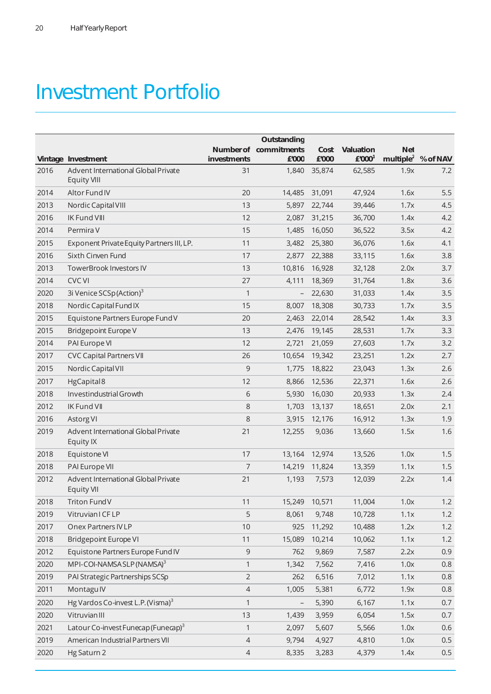# Investment Portfolio

|      |                                                           |                   | Outstanding           |                 |                              |            |                                   |
|------|-----------------------------------------------------------|-------------------|-----------------------|-----------------|------------------------------|------------|-----------------------------------|
|      |                                                           |                   | Number of commitments | Cost            | Valuation                    | <b>Net</b> |                                   |
| 2016 | Vintage Investment<br>Advent International Global Private | investments<br>31 | £'000<br>1,840        | £'000<br>35,874 | £'000 <sup>1</sup><br>62,585 | 1.9x       | multiple ${}^{2}$ % of NAV<br>7.2 |
|      | <b>Equity VIII</b>                                        |                   |                       |                 |                              |            |                                   |
| 2014 | Altor Fund IV                                             | 20                | 14,485                | 31,091          | 47,924                       | 1.6x       | 5.5                               |
| 2013 | Nordic Capital VIII                                       | 13                | 5,897                 | 22,744          | 39,446                       | 1.7x       | 4.5                               |
| 2016 | IK Fund VIII                                              | 12                | 2,087                 | 31,215          | 36,700                       | 1.4x       | 4.2                               |
| 2014 | Permira V                                                 | 15                | 1,485                 | 16,050          | 36,522                       | 3.5x       | 4.2                               |
| 2015 | Exponent Private Equity Partners III, LP.                 | 11                | 3,482                 | 25,380          | 36,076                       | 1.6x       | 4.1                               |
| 2016 | Sixth Cinven Fund                                         | 17                | 2,877                 | 22,388          | 33,115                       | 1.6x       | 3.8                               |
| 2013 | TowerBrook Investors IV                                   | 13                | 10,816                | 16,928          | 32,128                       | 2.0x       | 3.7                               |
| 2014 | <b>CVC VI</b>                                             | 27                | 4,111                 | 18,369          | 31,764                       | 1.8x       | 3.6                               |
| 2020 | 3i Venice SCSp (Action) <sup>3</sup>                      | 1                 | $\qquad \qquad -$     | 22,630          | 31,033                       | 1.4x       | 3.5                               |
| 2018 | Nordic Capital Fund IX                                    | 15                | 8,007                 | 18,308          | 30,733                       | 1.7x       | 3.5                               |
| 2015 | Equistone Partners Europe Fund V                          | 20                | 2,463                 | 22,014          | 28,542                       | 1.4x       | 3.3                               |
| 2015 | <b>Bridgepoint Europe V</b>                               | 13                | 2,476                 | 19,145          | 28,531                       | 1.7x       | 3.3                               |
| 2014 | PAI Europe VI                                             | 12                | 2,721                 | 21,059          | 27,603                       | 1.7x       | 3.2                               |
| 2017 | <b>CVC Capital Partners VII</b>                           | 26                | 10,654                | 19,342          | 23,251                       | 1.2x       | 2.7                               |
| 2015 | Nordic Capital VII                                        | 9                 | 1,775                 | 18,822          | 23,043                       | 1.3x       | 2.6                               |
| 2017 | HgCapital8                                                | 12                | 8,866                 | 12,536          | 22,371                       | 1.6x       | 2.6                               |
| 2018 | Investindustrial Growth                                   | 6                 | 5,930                 | 16,030          | 20,933                       | 1.3x       | 2.4                               |
| 2012 | IK Fund VII                                               | 8                 | 1,703                 | 13,137          | 18,651                       | 2.0x       | 2.1                               |
| 2016 | Astorg VI                                                 | 8                 | 3,915                 | 12,176          | 16,912                       | 1.3x       | 1.9                               |
| 2019 | Advent International Global Private<br>Equity IX          | 21                | 12,255                | 9,036           | 13,660                       | 1.5x       | 1.6                               |
| 2018 | Equistone VI                                              | 17                | 13,164                | 12,974          | 13,526                       | 1.0x       | 1.5                               |
| 2018 | PAI Europe VII                                            | 7                 | 14,219                | 11,824          | 13,359                       | 1.1x       | 1.5                               |
| 2012 | Advent International Global Private<br><b>Equity VII</b>  | 21                | 1,193                 | 7,573           | 12,039                       | 2.2x       | 1.4                               |
| 2018 | Triton Fund V                                             | 11                | 15,249                | 10,571          | 11,004                       | 1.0x       | 1.2                               |
| 2019 | Vitruvian I CF LP                                         | 5                 | 8,061                 | 9,748           | 10,728                       | 1.1x       | 1.2                               |
| 2017 | Onex Partners IV LP                                       | 10                | 925                   | 11,292          | 10,488                       | 1.2x       | 1.2                               |
| 2018 | <b>Bridgepoint Europe VI</b>                              | 11                | 15,089                | 10,214          | 10,062                       | 1.1x       | 1.2                               |
| 2012 | Equistone Partners Europe Fund IV                         | 9                 | 762                   | 9,869           | 7,587                        | 2.2x       | 0.9                               |
| 2020 | MPI-COI-NAMSASLP (NAMSA) <sup>3</sup>                     | $\mathbf{1}$      | 1,342                 | 7,562           | 7,416                        | 1.0x       | 0.8                               |
| 2019 | PAI Strategic Partnerships SCSp                           | 2                 | 262                   | 6,516           | 7,012                        | 1.1x       | 0.8                               |
| 2011 | MontaguIV                                                 | $\overline{4}$    | 1,005                 | 5,381           | 6,772                        | 1.9x       | 0.8                               |
| 2020 | Hg Vardos Co-invest L.P. (Visma) <sup>3</sup>             | 1                 | $\qquad \qquad -$     | 5,390           | 6,167                        | 1.1x       | 0.7                               |
| 2020 | Vitruvian III                                             | 13                | 1,439                 | 3,959           | 6,054                        | 1.5x       | 0.7                               |
| 2021 | Latour Co-invest Funecap (Funecap) <sup>3</sup>           | 1                 | 2,097                 | 5,607           | 5,566                        | 1.0x       | 0.6                               |
| 2019 | American Industrial Partners VII                          | 4                 | 9,794                 | 4,927           | 4,810                        | 1.0x       | 0.5                               |
| 2020 | Hg Saturn 2                                               | $\overline{4}$    | 8,335                 | 3,283           | 4,379                        | 1.4x       | 0.5                               |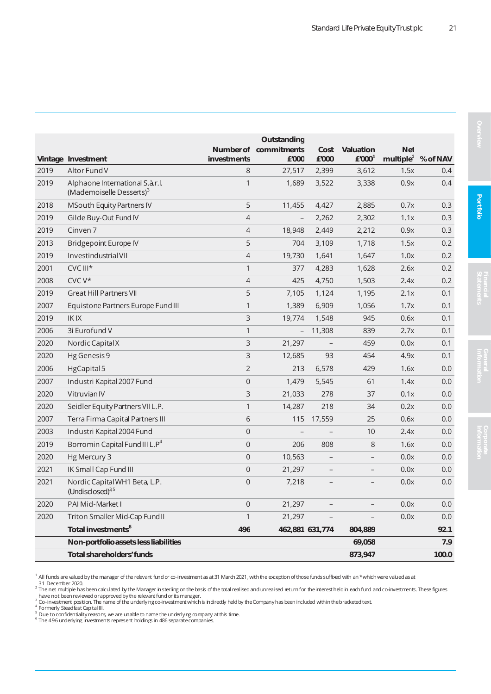|      | Outstanding                                                             |                     |                          |                          |           |              |          |
|------|-------------------------------------------------------------------------|---------------------|--------------------------|--------------------------|-----------|--------------|----------|
|      |                                                                         |                     | Number of commitments    | Cost                     | Valuation | <b>Net</b>   |          |
|      | Vintage Investment                                                      | investments         | £'000                    | £'000                    | E'000'    | multiple $2$ | % of NAV |
| 2019 | Altor Fund V                                                            | 8                   | 27,517                   | 2,399                    | 3,612     | 1.5x         | 0.4      |
| 2019 | Alphaone International S.à.r.l.<br>(Mademoiselle Desserts) <sup>3</sup> | $\mathbf{1}$        | 1,689                    | 3,522                    | 3,338     | 0.9x         | 0.4      |
| 2018 | <b>MSouth Equity Partners IV</b>                                        | 5                   | 11,455                   | 4,427                    | 2,885     | 0.7x         | 0.3      |
| 2019 | Gilde Buy-Out Fund IV                                                   | $\overline{4}$      | $\overline{\phantom{a}}$ | 2,262                    | 2,302     | 1.1x         | 0.3      |
| 2019 | Cinven <sub>7</sub>                                                     | $\overline{4}$      | 18,948                   | 2,449                    | 2,212     | 0.9x         | 0.3      |
| 2013 | <b>Bridgepoint Europe IV</b>                                            | 5                   | 704                      | 3,109                    | 1,718     | 1.5x         | 0.2      |
| 2019 | Investindustrial VII                                                    | $\overline{4}$      | 19,730                   | 1,641                    | 1,647     | 1.0x         | 0.2      |
| 2001 | CVC III*                                                                | $\mathbf{1}$        | 377                      | 4,283                    | 1,628     | 2.6x         | 0.2      |
| 2008 | $CVCV^*$                                                                | 4                   | 425                      | 4,750                    | 1,503     | 2.4x         | 0.2      |
| 2019 | <b>Great Hill Partners VII</b>                                          | 5                   | 7,105                    | 1,124                    | 1,195     | 2.1x         | 0.1      |
| 2007 | Equistone Partners Europe Fund III                                      | $\mathbf{1}$        | 1,389                    | 6,909                    | 1,056     | 1.7x         | 0.1      |
| 2019 | <b>IKIX</b>                                                             | 3                   | 19,774                   | 1,548                    | 945       | 0.6x         | 0.1      |
| 2006 | 3i Eurofund V                                                           | $\mathbf{1}$        | $\overline{\phantom{0}}$ | 11,308                   | 839       | 2.7x         | 0.1      |
| 2020 | Nordic Capital X                                                        | $\overline{3}$      | 21,297                   |                          | 459       | 0.0x         | 0.1      |
| 2020 | Hg Genesis 9                                                            | 3                   | 12,685                   | 93                       | 454       | 4.9x         | 0.1      |
| 2006 | HgCapital5                                                              | $\overline{2}$      | 213                      | 6,578                    | 429       | 1.6x         | 0.0      |
| 2007 | Industri Kapital 2007 Fund                                              | $\mathsf{O}\xspace$ | 1,479                    | 5,545                    | 61        | 1.4x         | 0.0      |
| 2020 | Vitruvian IV                                                            | $\overline{3}$      | 21,033                   | 278                      | 37        | 0.1x         | 0.0      |
| 2020 | Seidler Equity Partners VIIL.P.                                         | $\mathbf{1}$        | 14,287                   | 218                      | 34        | 0.2x         | 0.0      |
| 2007 | Terra Firma Capital Partners III                                        | 6                   | 115                      | 17,559                   | 25        | 0.6x         | 0.0      |
| 2003 | Industri Kapital 2004 Fund                                              | $\mathsf{O}\xspace$ | $\overline{a}$           |                          | 10        | 2.4x         | 0.0      |
| 2019 | Borromin Capital Fund III L.P <sup>4</sup>                              | $\overline{0}$      | 206                      | 808                      | 8         | 1.6x         | 0.0      |
| 2020 | Hg Mercury 3                                                            | $\overline{0}$      | 10,563                   |                          |           | 0.0x         | 0.0      |
| 2021 | IK Small Cap Fund III                                                   | $\mathsf{O}\xspace$ | 21,297                   | $\overline{\phantom{a}}$ |           | 0.0x         | 0.0      |
| 2021 | Nordic Capital WH1 Beta, L.P.<br>$(Undisclosed)^{35}$                   | $\boldsymbol{0}$    | 7,218                    |                          |           | 0.0x         | 0.0      |
| 2020 | PAI Mid-Market I                                                        | $\mathbf 0$         | 21,297                   | $\overline{\phantom{a}}$ |           | 0.0x         | $0.0\,$  |
| 2020 | Triton Smaller Mid-Cap Fund II                                          | $\mathbf{1}$        | 21,297                   | $\overline{\phantom{a}}$ |           | 0.0x         | 0.0      |
|      | Total investments <sup>6</sup>                                          | 496                 | 462,881 631,774          |                          | 804,889   |              | 92.1     |
|      | Non-portfolio assets less liabilities                                   |                     |                          |                          | 69,058    |              | 7.9      |
|      | Total shareholders' funds                                               |                     |                          |                          | 873,947   |              | 100.0    |

 $^1$  All funds are valued by the manager of the relevant fund or co-investment as at 31 March 2021, with the exception of those funds suffixed with an \* which were valued as at

. 31 December 2020.<br><sup>2</sup> The net multiple has been calculated by the Manager in sterling on the basis of the total realised and unrealised return for the interest held in each fund and co-investments. These figures

<sup>&</sup>lt;sub>a</sub> have not been reviewed or approved by the relevant fund or its manager.<br><sup>3</sup> Co-investment position. The name of the underlying co-investment which is indirectly held by the Company has been included within the brackete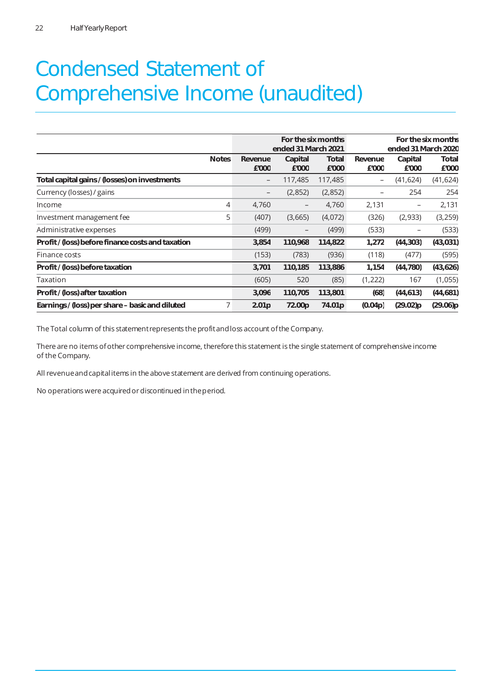# Condensed Statement of Comprehensive Income (unaudited)

|                                                   |              |                          | ended 31 March 2021      | For the six months | For the six months<br>ended 31 March 2020 |                          |                |  |
|---------------------------------------------------|--------------|--------------------------|--------------------------|--------------------|-------------------------------------------|--------------------------|----------------|--|
|                                                   | <b>Notes</b> | Revenue<br>£'000         | Capital<br>£'000         | Total<br>£'000     | Revenue<br>£'000                          | Capital<br>£'000         | Total<br>£'000 |  |
| Total capital gains / (losses) on investments     |              | $\overline{\phantom{m}}$ | 117,485                  | 117,485            |                                           | (41,624)                 | (41, 624)      |  |
| Currency (losses) / gains                         |              | $\overline{\phantom{m}}$ | (2,852)                  | (2,852)            |                                           | 254                      | 254            |  |
| Income                                            | 4            | 4,760                    | $\overline{\phantom{m}}$ | 4,760              | 2,131                                     | $\overline{\phantom{0}}$ | 2,131          |  |
| Investment management fee                         | 5            | (407)                    | (3,665)                  | (4,072)            | (326)                                     | (2,933)                  | (3, 259)       |  |
| Administrative expenses                           |              | (499)                    |                          | (499)              | (533)                                     |                          | (533)          |  |
| Profit / (loss) before finance costs and taxation |              | 3,854                    | 110,968                  | 114,822            | 1,272                                     | (44, 303)                | (43, 031)      |  |
| Finance costs                                     |              | (153)                    | (783)                    | (936)              | (118)                                     | (477)                    | (595)          |  |
| Profit / (loss) before taxation                   |              | 3,701                    | 110,185                  | 113,886            | 1,154                                     | (44, 780)                | (43, 626)      |  |
| Taxation                                          |              | (605)                    | 520                      | (85)               | (1,222)                                   | 167                      | (1,055)        |  |
| Profit / (loss) after taxation                    |              | 3,096                    | 110,705                  | 113,801            | (68)                                      | (44, 613)                | (44, 681)      |  |
| Earnings / (loss) per share – basic and diluted   | 7            | 2.01 <sub>p</sub>        | 72.00 <sub>p</sub>       | 74.01 <sub>p</sub> | (0.04p)                                   | $(29.02)$ p              | (29.06)p       |  |

The Total column of this statement represents the profit and loss account of the Company.

There are no items of other comprehensive income, therefore this statement is the single statement of comprehensive income of the Company.

All revenue and capital items in the above statement are derived from continuing operations.

No operations were acquired or discontinued in the period.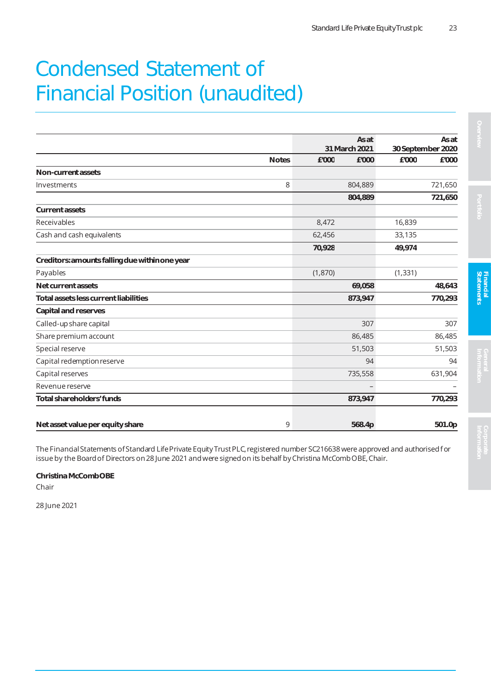# Condensed Statement of Financial Position (unaudited)

|                                                | As at<br>31 March 2021   | As at<br>30 September 2020 |
|------------------------------------------------|--------------------------|----------------------------|
| <b>Notes</b>                                   | £'000<br>£'000           | £'000<br>£'000             |
| Non-current assets                             |                          |                            |
| 8<br>Investments                               | 804,889                  | 721,650                    |
|                                                | 804,889                  | 721,650                    |
| <b>Current assets</b>                          |                          |                            |
| Receivables                                    | 8,472                    | 16,839                     |
| Cash and cash equivalents                      | 62,456                   | 33,135                     |
|                                                | 70,928                   | 49,974                     |
| Creditors: amounts falling due within one year |                          |                            |
| Payables                                       | (1,870)                  | (1, 331)                   |
| Net current assets                             | 69,058                   | 48,643                     |
| Total assets less current liabilities          | 873,947                  | 770,293                    |
| Capital and reserves                           |                          |                            |
| Called-up share capital                        | 307                      | 307                        |
| Share premium account                          | 86,485                   | 86,485                     |
| Special reserve                                | 51,503                   | 51,503                     |
| Capital redemption reserve                     | 94                       | 94                         |
| Capital reserves                               | 735,558                  | 631,904                    |
| Revenue reserve                                | $\overline{\phantom{m}}$ |                            |
| Total shareholders' funds                      | 873,947                  | 770,293                    |
| Net asset value per equity share<br>9          | 568.4p                   | 501.0p                     |

The Financial Statements of Standard Life Private Equity Trust PLC, registered number SC216638 were approved and authorised for issue by the Board of Directors on 28 June 2021 and were signed on its behalf by Christina McComb OBE, Chair.

**Christina McComb OBE** 

Chair

28 June 2021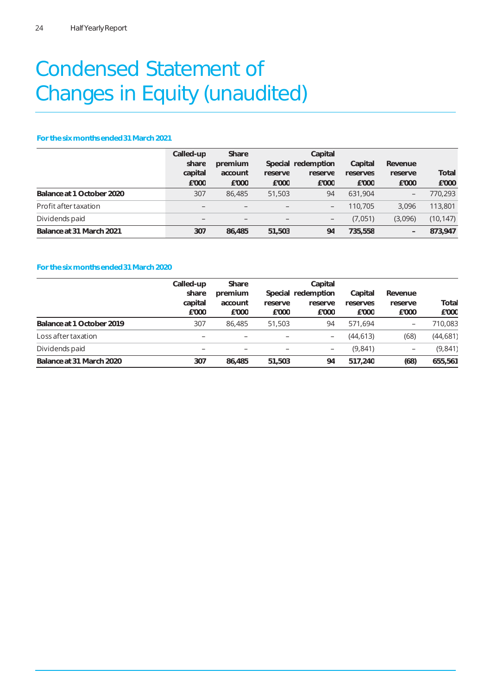# Condensed Statement of Changes in Equity (unaudited)

#### **For the six months ended 31 March 2021**

|                           | Called-up | Share   | Capital                  |                          |          |                          |           |
|---------------------------|-----------|---------|--------------------------|--------------------------|----------|--------------------------|-----------|
|                           | share     | premium |                          | Special redemption       | Capital  | Revenue                  |           |
|                           | capital   | account | reserve                  | reserve                  | reserves | reserve                  | Total     |
|                           | £'000     | £'000   | £'000                    | £'000                    | £'000    | £'000                    | £'000     |
| Balance at 1 October 2020 | 307       | 86,485  | 51,503                   | 94                       | 631,904  | $\overline{\phantom{m}}$ | 770,293   |
| Profit after taxation     |           |         | $\overline{\phantom{m}}$ | $\overline{\phantom{m}}$ | 110,705  | 3,096                    | 113,801   |
| Dividends paid            |           |         | $\overline{\phantom{m}}$ | $\overline{\phantom{m}}$ | (7.051)  | (3,096)                  | (10, 147) |
| Balance at 31 March 2021  | 307       | 86,485  | 51,503                   | 94                       | 735,558  | $\overline{\phantom{0}}$ | 873.947   |

#### **For the six months ended 31 March 2020**

|                           | Called-up                | Share   | Capital                  |                    |           |                          |           |
|---------------------------|--------------------------|---------|--------------------------|--------------------|-----------|--------------------------|-----------|
|                           | share                    | premium |                          | Special redemption | Capital   | Revenue                  |           |
|                           | capital                  | account | reserve                  | reserve            | reserves  | reserve                  | Total     |
|                           | £'000                    | £'000   | £'000                    | £'000              | £'000     | £'000                    | £'000     |
| Balance at 1 October 2019 | 307                      | 86,485  | 51,503                   | 94                 | 571,694   | $\overline{\phantom{m}}$ | 710.083   |
| Loss after taxation       | $\overline{\phantom{0}}$ |         | $\overline{\phantom{a}}$ | -                  | (44, 613) | (68)                     | (44, 681) |
| Dividends paid            | $\overline{\phantom{0}}$ |         | $\overline{\phantom{m}}$ | -                  | (9,841)   | $\overline{\phantom{m}}$ | (9,841)   |
| Balance at 31 March 2020  | 307                      | 86,485  | 51,503                   | 94                 | 517.240   | (68)                     | 655,561   |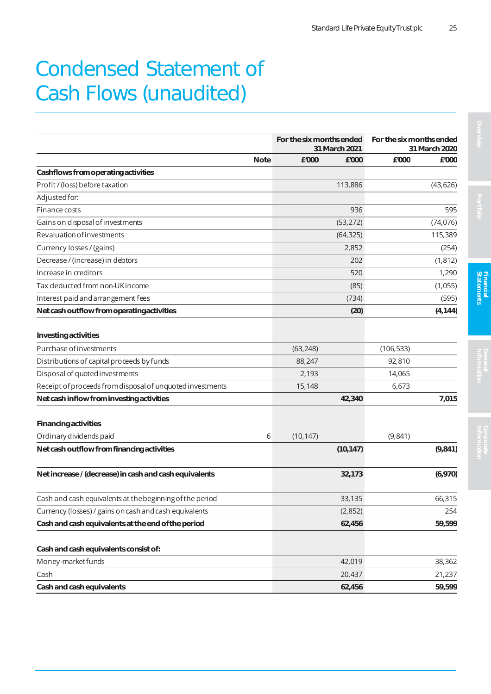# Condensed Statement of Cash Flows (unaudited)

|                                                           |             | For the six months ended | 31 March 2021 | For the six months ended | 31 March 2020 |
|-----------------------------------------------------------|-------------|--------------------------|---------------|--------------------------|---------------|
|                                                           | <b>Note</b> | £'000                    | £'000         | £'000                    | £'000         |
| Cashflows from operating activities                       |             |                          |               |                          |               |
| Profit / (loss) before taxation                           |             |                          | 113,886       |                          | (43, 626)     |
| Adjusted for:                                             |             |                          |               |                          |               |
| Finance costs                                             |             |                          | 936           |                          | 595           |
| Gains on disposal of investments                          |             |                          | (53, 272)     |                          | (74, 076)     |
| Revaluation of investments                                |             |                          | (64, 325)     |                          | 115,389       |
| Currency losses / (gains)                                 |             |                          | 2,852         |                          | (254)         |
| Decrease / (increase) in debtors                          |             |                          | 202           |                          | (1, 812)      |
| Increase in creditors                                     |             |                          | 520           |                          | 1,290         |
| Tax deducted from non-UK income                           |             |                          | (85)          |                          | (1,055)       |
| Interest paid and arrangement fees                        |             |                          | (734)         |                          | (595)         |
| Net cash outflow from operating activities                |             |                          | (20)          |                          | (4, 144)      |
| Investing activities                                      |             |                          |               |                          |               |
| Purchase of investments                                   |             | (63, 248)                |               | (106, 533)               |               |
| Distributions of capital proceeds by funds                |             | 88,247                   |               | 92,810                   |               |
| Disposal of quoted investments                            |             | 2,193                    |               | 14,065                   |               |
| Receipt of proceeds from disposal of unquoted investments |             | 15,148                   |               | 6,673                    |               |
| Net cash inflow from investing activities                 |             |                          | 42,340        |                          | 7,015         |
| Financing activities                                      |             |                          |               |                          |               |
| Ordinary dividends paid                                   | 6           | (10, 147)                |               | (9,841)                  |               |
| Net cash outflow from financing activities                |             |                          | (10, 147)     |                          | (9, 841)      |
| Net increase / (decrease) in cash and cash equivalents    |             |                          | 32,173        |                          | (6,970)       |
| Cash and cash equivalents at the beginning of the period  |             |                          | 33,135        |                          | 66,315        |
| Currency (losses) / gains on cash and cash equivalents    |             |                          | (2, 852)      |                          | 254           |
| Cash and cash equivalents at the end of the period        |             |                          | 62,456        |                          | 59,599        |
| Cash and cash equivalents consist of:                     |             |                          |               |                          |               |
| Money-market funds                                        |             |                          | 42,019        |                          | 38,362        |
| Cash                                                      |             |                          | 20,437        |                          | 21,237        |
| Cash and cash equivalents                                 |             |                          | 62,456        |                          | 59,599        |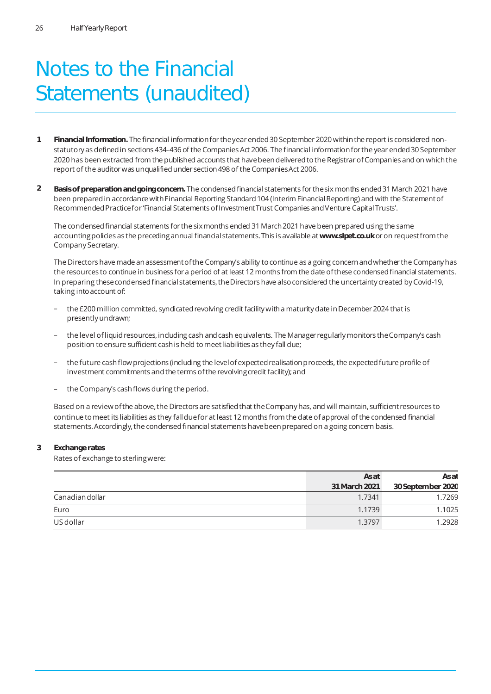# Notes to the Financial Statements (unaudited)

- **1 Financial Information.** The financial information for the year ended 30 September 2020 within the report is considered nonstatutory as defined in sections 434-436 of the Companies Act 2006. The financial information for the year ended 30 September 2020 has been extracted from the published accounts that have been delivered to the Registrar of Companies and on which the report of the auditor was unqualified under section 498 of the Companies Act 2006.
- **2 Basis of preparation and going concern.** The condensed financial statements for the six months ended 31 March 2021 have been prepared in accordance with Financial Reporting Standard 104 (Interim Financial Reporting) and with the Statement of Recommended Practice for 'Financial Statements of Investment Trust Companies and Venture Capital Trusts'.

The condensed financial statements for the six months ended 31 March 2021 have been prepared using the same accounting policies as the preceding annual financial statements. This is available at **www.slpet.co.uk** or on request from the Company Secretary.

The Directors have made an assessment of the Company's ability to continue as a going concern and whether the Company has the resources to continue in business for a period of at least 12 months from the date of these condensed financial statements. In preparing these condensed financial statements, the Directors have also considered the uncertainty created by Covid-19, taking into account of:

- the £200 million committed, syndicated revolving credit facility with a maturity date in December 2024 that is presently undrawn;
- the level of liquid resources, including cash and cash equivalents. The Manager regularly monitors the Company's cash position to ensure sufficient cash is held to meet liabilities as they fall due;
- the future cash flow projections (including the level of expected realisation proceeds, the expected future profile of investment commitments and the terms of the revolving credit facility); and
- the Company's cash flows during the period.

Based on a review of the above, the Directors are satisfied that the Company has, and will maintain, sufficient resources to continue to meet its liabilities as they fall due for at least 12 months from the date of approval of the condensed financial statements. Accordingly, the condensed financial statements have been prepared on a going concern basis.

#### **3 Exchange rates**

Rates of exchange to sterling were:

|                 | As at         | As at             |
|-----------------|---------------|-------------------|
|                 | 31 March 2021 | 30 September 2020 |
| Canadian dollar | 1.7341        | 1.7269            |
| Euro            | 1.1739        | 1.1025            |
| US dollar       | 1.3797        | 1.2928            |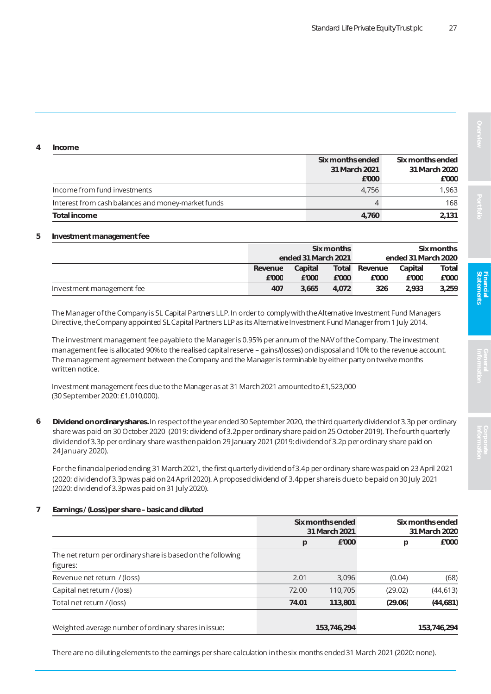#### **4 Income**

|                                                    | Six months ended | Six months ended |
|----------------------------------------------------|------------------|------------------|
|                                                    | 31 March 2021    | 31 March 2020    |
|                                                    | £'000            | £'000            |
| Income from fund investments                       | 4.756            | 1.963            |
| Interest from cash balances and money-market funds |                  | 168              |
| Total income                                       | 4,760            | 2.131            |

#### **5 Investment management fee**

|                           | Six months          |         | Six months |         |                     |       |
|---------------------------|---------------------|---------|------------|---------|---------------------|-------|
|                           | ended 31 March 2021 |         |            |         | ended 31 March 2020 |       |
|                           | Revenue             | Capital | Total      | Revenue | Capital             | Total |
|                           | £'000               | £'000   | £'000      | £'000   | £'000               | £'000 |
| Investment management fee | 407                 | 3.665   | 4.072      | 326     | 2.933               | 3.259 |

The Manager of the Company is SL Capital Partners LLP. In order to comply with the Alternative Investment Fund Managers Directive, the Company appointed SL Capital Partners LLP as its Alternative Investment Fund Manager from 1 July 2014.

The investment management fee payable to the Manager is 0.95% per annum of the NAV of the Company. The investment management fee is allocated 90% to the realised capital reserve – gains/(losses) on disposal and 10% to the revenue account. The management agreement between the Company and the Manager is terminable by either party on twelve months written notice.

Investment management fees due to the Manager as at 31 March 2021 amounted to £1,523,000 (30 September 2020: £1,010,000).

**6 Dividend on ordinary shares.** In respect of the year ended 30 September 2020, the third quarterly dividend of 3.3p per ordinary share was paid on 30 October 2020 (2019: dividend of 3.2p per ordinary share paid on 25 October 2019). The fourth quarterly dividend of 3.3p per ordinary share was then paid on 29 January 2021 (2019: dividend of 3.2p per ordinary share paid on 24 January 2020).

For the financial period ending 31 March 2021, the first quarterly dividend of 3.4p per ordinary share was paid on 23 April 2021 (2020: dividend of 3.3p was paid on 24 April 2020). A proposed dividend of 3.4p per share is due to be paid on 30 July 2021 (2020: dividend of 3.3p was paid on 31 July 2020).

#### **7 Earnings / (Loss) per share – basic and diluted**

|                                                                         | Six months ended<br>31 March 2021 |             | Six months ended<br>31 March 2020 |             |
|-------------------------------------------------------------------------|-----------------------------------|-------------|-----------------------------------|-------------|
|                                                                         | p                                 | £'000       | р                                 | £'000       |
| The net return per ordinary share is based on the following<br>figures: |                                   |             |                                   |             |
| Revenue net return / (loss)                                             | 2.01                              | 3,096       | (0.04)                            | (68)        |
| Capital net return / (loss)                                             | 72.00                             | 110,705     | (29.02)                           | (44, 613)   |
| Total net return / (loss)                                               | 74.01                             | 113,801     | (29.06)                           | (44, 681)   |
| Weighted average number of ordinary shares in issue:                    |                                   | 153,746,294 |                                   | 153,746,294 |

There are no diluting elements to the earnings per share calculation in the six months ended 31 March 2021 (2020: none).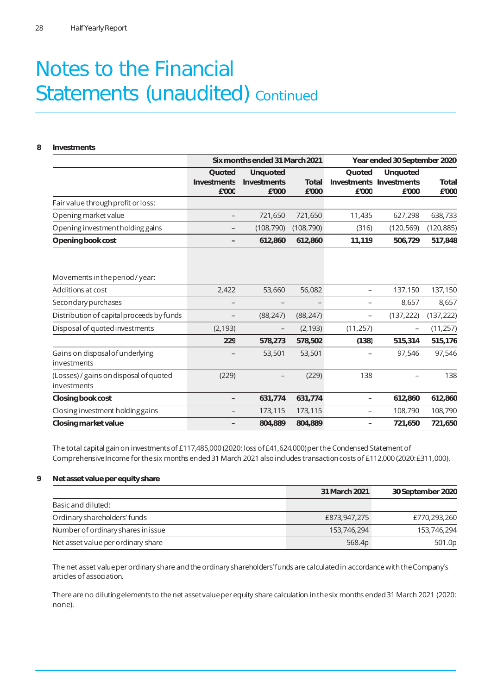# Notes to the Financial Statements (unaudited) Continued

#### **8 Investments**

|                                                       |                          | Six months ended 31 March 2021 |                   | Year ended 30 September 2020 |                          |            |
|-------------------------------------------------------|--------------------------|--------------------------------|-------------------|------------------------------|--------------------------|------------|
|                                                       | Quoted                   | Unquoted                       |                   | Quoted                       | Unquoted                 |            |
|                                                       | Investments              | Investments                    | Total             |                              | Investments Investments  | Total      |
|                                                       | £'000                    | £'000                          | £'000             | £'000                        | £'000                    | £'000      |
| Fair value through profit or loss:                    |                          |                                |                   |                              |                          |            |
| Opening market value                                  |                          | 721,650                        | 721,650           | 11,435                       | 627,298                  | 638,733    |
| Opening investment holding gains                      | $\overline{\phantom{a}}$ | (108, 790)                     | (108, 790)        | (316)                        | (120, 569)               | (120, 885) |
| Opening book cost                                     |                          | 612,860                        | 612,860           | 11,119                       | 506,729                  | 517,848    |
|                                                       |                          |                                |                   |                              |                          |            |
| Movements in the period / year:                       |                          |                                |                   |                              |                          |            |
| Additions at cost                                     | 2,422                    | 53,660                         | 56,082            | $\qquad \qquad -$            | 137,150                  | 137,150    |
| Secondary purchases                                   | $\qquad \qquad -$        |                                | $\qquad \qquad -$ | $\qquad \qquad$              | 8,657                    | 8,657      |
| Distribution of capital proceeds by funds             | $\qquad \qquad -$        | (88, 247)                      | (88, 247)         | $\qquad \qquad -$            | (137, 222)               | (137, 222) |
| Disposal of quoted investments                        | (2, 193)                 | <b>—</b>                       | (2, 193)          | (11, 257)                    | $\qquad \qquad -$        | (11, 257)  |
|                                                       | 229                      | 578,273                        | 578,502           | (138)                        | 515,314                  | 515,176    |
| Gains on disposal of underlying<br>investments        |                          | 53,501                         | 53,501            |                              | 97,546                   | 97,546     |
| (Losses) / gains on disposal of quoted<br>investments | (229)                    | $\qquad \qquad -$              | (229)             | 138                          | $\overline{\phantom{0}}$ | 138        |
| Closing book cost                                     | -                        | 631,774                        | 631,774           | $\overline{\phantom{0}}$     | 612,860                  | 612,860    |
| Closing investment holding gains                      | $\overline{\phantom{0}}$ | 173,115                        | 173,115           | $\qquad \qquad -$            | 108,790                  | 108,790    |
| Closing market value                                  | $\qquad \qquad -$        | 804,889                        | 804,889           | $\overline{\phantom{0}}$     | 721,650                  | 721,650    |

The total capital gain on investments of £117,485,000 (2020: loss of £41,624,000) per the Condensed Statement of Comprehensive Income for the six months ended 31 March 2021 also includes transaction costs of £112,000 (2020: £311,000).

#### **9 Net asset value per equity share**

|                                    | 31 March 2021 | 30 September 2020 |
|------------------------------------|---------------|-------------------|
| Basic and diluted:                 |               |                   |
| Ordinary shareholders' funds       | £873,947,275  | £770,293,260      |
| Number of ordinary shares in issue | 153,746,294   | 153,746,294       |
| Net asset value per ordinary share | 568.4p        | 501.0p            |

The net asset value per ordinary share and the ordinary shareholders' funds are calculated in accordance with the Company's articles of association.

There are no diluting elements to the net asset value per equity share calculation in the six months ended 31 March 2021 (2020: none).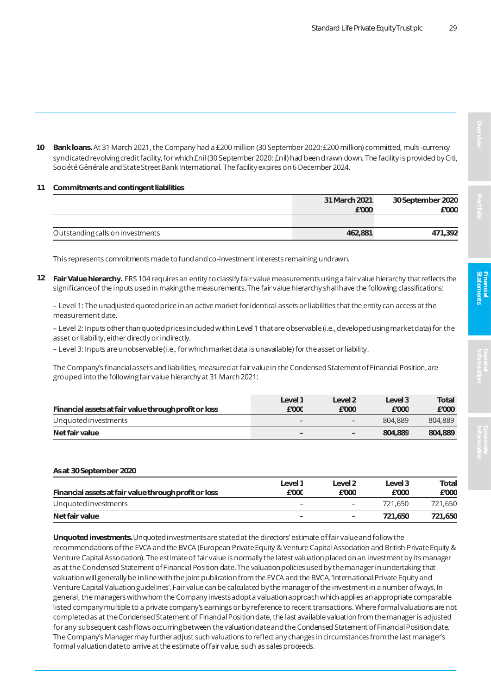- **10 Bank loans.** At 31 March 2021, the Company had a £200 million (30 September 2020: £200 million) committed, multi-currency syndicated revolving credit facility, for which £nil (30 September 2020: £nil) had been drawn down. The facility is provided by Citi,
- **11 Commitments and contingent liabilities**

|                                  | 31 March 2021 | 30 September 2020 |
|----------------------------------|---------------|-------------------|
|                                  | £'000         | £'000             |
|                                  |               |                   |
| Outstanding calls on investments | 462.881       | 471.392           |

This represents commitments made to fund and co-investment interests remaining undrawn.

Société Générale and State Street Bank International. The facility expires on 6 December 2024.

**12 Fair Value hierarchy.** FRS 104 requires an entity to classify fair value measurements using a fair value hierarchy that reflects the significance of the inputs used in making the measurements. The fair value hierarchy shall have the following classifications:

– Level 1: The unadjusted quoted price in an active market for identical assets or liabilities that the entity can access at the measurement date.

– Level 2: Inputs other than quoted prices included within Level 1 that are observable (i.e., developed using market data) for the asset or liability, either directly or indirectly.

– Level 3: Inputs are unobservable (i.e., for which market data is unavailable) for the asset or liability.

The Company's financial assets and liabilities, measured at fair value in the Condensed Statement of Financial Position, are grouped into the following fair value hierarchy at 31 March 2021:

|                                                       | Level 1                  | Level 2                  | Level 3 | Total   |
|-------------------------------------------------------|--------------------------|--------------------------|---------|---------|
| Financial assets at fair value through profit or loss | £'000                    | £'000                    | £'000   | £'000   |
| Unquoted investments                                  | $\overline{\phantom{0}}$ | $\overline{\phantom{0}}$ | 804,889 | 804,889 |
| Net fair value                                        | $\overline{\phantom{0}}$ | $\overline{\phantom{0}}$ | 804.889 | 804.889 |

#### **As at 30 September 2020**

| Financial assets at fair value through profit or loss | Level 1<br>£'000 | Level 2<br>£'000         | Level 3<br>£'000 | Total<br>£'000 |
|-------------------------------------------------------|------------------|--------------------------|------------------|----------------|
| <b>Unquoted investments</b>                           |                  | $\overline{\phantom{0}}$ | 721.650          | 721.650        |
| Net fair value                                        | -                | -                        | 721.650          | 721.650        |

**Unquoted investments.** Unquoted investments are stated at the directors' estimate of fair value and follow the recommendations of the EVCA and the BVCA (European Private Equity & Venture Capital Association and British Private Equity & Venture Capital Association). The estimate of fair value is normally the latest valuation placed on an investment by its manager as at the Condensed Statement of Financial Position date. The valuation policies used by the manager in undertaking that valuation will generally be in line with the joint publication from the EVCA and the BVCA, 'International Private Equity and Venture Capital Valuation guidelines'. Fair value can be calculated by the manager of the investment in a number of ways. In general, the managers with whom the Company invests adopt a valuation approach which applies an appropriate comparable listed company multiple to a private company's earnings or by reference to recent transactions. Where formal valuations are not completed as at the Condensed Statement of Financial Position date, the last available valuation from the manager is adjusted for any subsequent cash flows occurring between the valuation date and the Condensed Statement of Financial Position date. The Company's Manager may further adjust such valuations to reflect any changes in circumstances from the last manager's formal valuation date to arrive at the estimate of fair value, such as sales proceeds.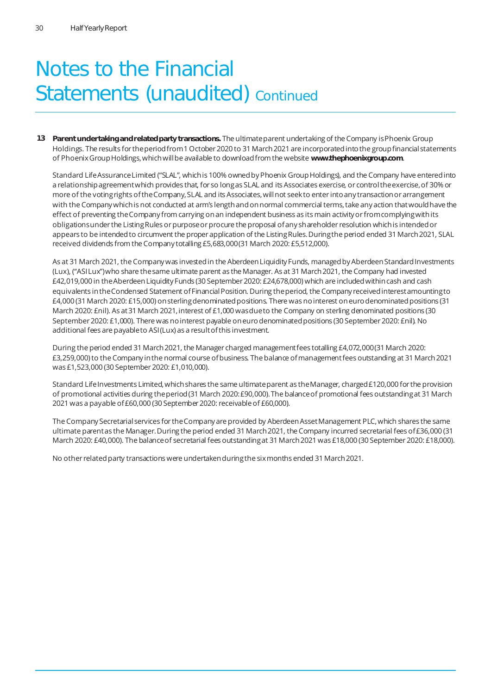# Notes to the Financial Statements (unaudited) Continued

**13 Parent undertaking and related party transactions.** The ultimate parent undertaking of the Company is Phoenix Group Holdings. The results for the period from 1 October 2020 to 31 March 2021 are incorporated into the group financial statements of Phoenix Group Holdings, which will be available to download from the website **www.thephoenixgroup.com**.

Standard Life Assurance Limited ("SLAL", which is 100% owned by Phoenix Group Holdings), and the Company have entered into a relationship agreement which provides that, for so long as SLAL and its Associates exercise, or control the exercise, of 30% or more of the voting rights of the Company, SLAL and its Associates, will not seek to enter into any transaction or arrangement with the Company which is not conducted at arm's length and on normal commercial terms, take any action that would have the effect of preventing the Company from carrying on an independent business as its main activity or from complying with its obligations under the Listing Rules or purpose or procure the proposal of any shareholder resolution which is intended or appears to be intended to circumvent the proper application of the Listing Rules. During the period ended 31 March 2021, SLAL received dividends from the Company totalling £5,683,000 (31 March 2020: £5,512,000).

As at 31 March 2021, the Company was invested in the Aberdeen Liquidity Funds, managed by Aberdeen Standard Investments (Lux), ("ASI Lux") who share the same ultimate parent as the Manager. As at 31 March 2021, the Company had invested £42,019,000 in the Aberdeen Liquidity Funds (30 September 2020: £24,678,000) which are included within cash and cash equivalents in the Condensed Statement of Financial Position. During the period, the Company received interest amounting to £4,000 (31 March 2020: £15,000) on sterling denominated positions. There was no interest on euro denominated positions (31 March 2020: £nil). As at 31 March 2021, interest of £1,000 was due to the Company on sterling denominated positions (30 September 2020: £1,000). There was no interest payable on euro denominated positions (30 September 2020: £nil). No additional fees are payable to ASI (Lux) as a result of this investment.

During the period ended 31 March 2021, the Manager charged management fees totalling £4,072,000 (31 March 2020: £3,259,000) to the Company in the normal course of business. The balance of management fees outstanding at 31 March 2021 was £1,523,000 (30 September 2020: £1,010,000).

Standard Life Investments Limited, which shares the same ultimate parent as the Manager, charged £120,000 for the provision of promotional activities during the period (31 March 2020: £90,000). The balance of promotional fees outstanding at 31 March 2021 was a payable of £60,000 (30 September 2020: receivable of £60,000).

The Company Secretarial services for the Company are provided by Aberdeen Asset Management PLC, which shares the same ultimate parent as the Manager. During the period ended 31 March 2021, the Company incurred secretarial fees of £36,000 (31 March 2020: £40,000). The balance of secretarial fees outstanding at 31 March 2021 was £18,000 (30 September 2020: £18,000).

No other related party transactions were undertaken during the six months ended 31 March 2021.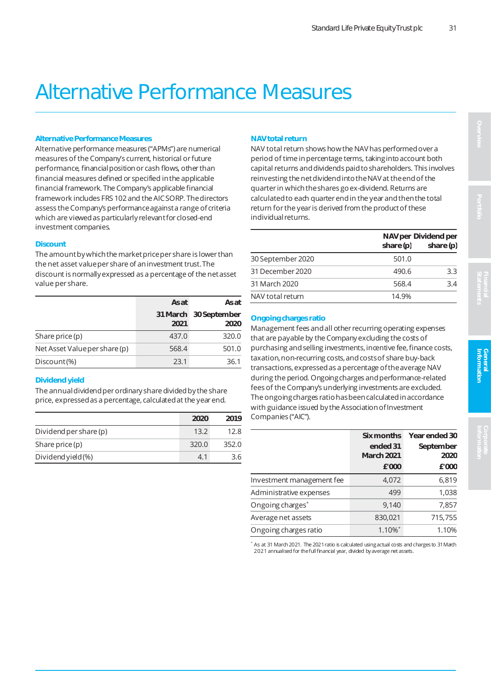## Alternative Performance Measures

#### **Alternative Performance Measures**

Alternative performance measures ("APMs") are numerical measures of the Company's current, historical or future performance, financial position or cash flows, other than financial measures defined or specified in the applicable financial framework. The Company's applicable financial framework includes FRS 102 and the AIC SORP. The directors assess the Company's performance against a range of criteria which are viewed as particularly relevant for closed-end investment companies.

#### **Discount**

The amount by which the market price per share is lower than the net asset value per share of an investment trust. The discount is normally expressed as a percentage of the net asset value per share.

|                               | As at            | As at                |
|-------------------------------|------------------|----------------------|
|                               | 31 March<br>2021 | 30 September<br>2020 |
| Share price (p)               | 437.0            | 320.0                |
| Net Asset Value per share (p) | 568.4            | 501.0                |
| Discount(%)                   | 23.1             | 36.1                 |

#### **Dividend yield**

The annual dividend per ordinary share divided by the share price, expressed as a percentage, calculated at the year end.

|                        | 2020  | 2019  |
|------------------------|-------|-------|
| Dividend per share (p) | 13.2  | 12.8  |
| Share price (p)        | 320.0 | 352.0 |
| Dividend yield (%)     | 4.1   | 3.6   |

#### **NAV total return**

NAV total return shows how the NAV has performed over a period of time in percentage terms, taking into account both capital returns and dividends paid to shareholders. This involves reinvesting the net dividend into the NAV at the end of the quarter in which the shares go ex-dividend. Returns are calculated to each quarter end in the year and then the total return for the year is derived from the product of these individual returns.

|                   | share (p) | NAV per Dividend per<br>share (p) |
|-------------------|-----------|-----------------------------------|
| 30 September 2020 | 501.0     |                                   |
| 31 December 2020  | 490.6     | 3.3                               |
| 31 March 2020     | 568.4     | 3.4                               |
| NAV total return  | 14.9%     |                                   |

#### **Ongoing charges ratio**

Management fees and all other recurring operating expenses that are payable by the Company excluding the costs of purchasing and selling investments, incentive fee, finance costs, taxation, non-recurring costs, and costs of share buy-back transactions, expressed as a percentage of the average NAV during the period. Ongoing charges and performance-related fees of the Company's underlying investments are excluded. The ongoing charges ratio has been calculated in accordance with guidance issued by the Association of Investment Companies ("AIC").

|                              | Six months            | Year ended 30 |
|------------------------------|-----------------------|---------------|
|                              | ended 31              | September     |
|                              | March 2021            | 2020          |
|                              | £'000                 | £'000         |
| Investment management fee    | 4,072                 | 6,819         |
| Administrative expenses      | 499                   | 1,038         |
| Ongoing charges <sup>+</sup> | 9,140                 | 7,857         |
| Average net assets           | 830,021               | 715,755       |
| Ongoing charges ratio        | $1.10\%$ <sup>+</sup> | 1.10%         |

+ As at 31 March 2021. The 2021 ratio is calculated using actual costs and charges to 31 March 2021 annualised for the full financial year, divided by average net assets.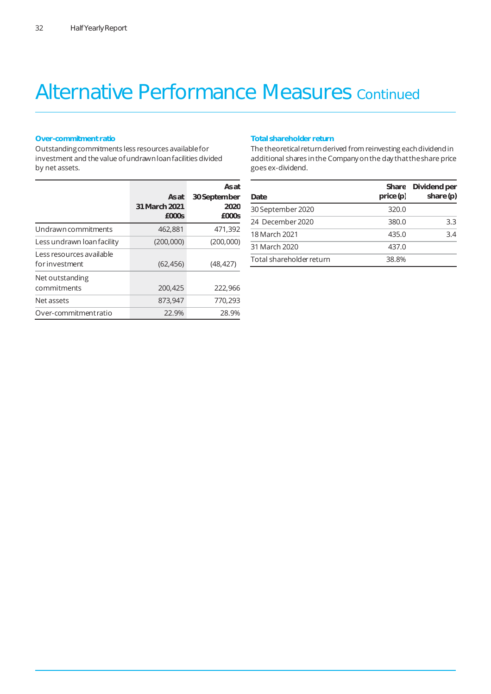# Alternative Performance Measures Continued

#### **Over-commitment ratio**

Outstanding commitments less resources available for investment and the value of undrawn loan facilities divided by net assets.

|                                            | As at<br>31 March 2021<br>£000s | As at<br>30 September<br>2020<br>£000s |
|--------------------------------------------|---------------------------------|----------------------------------------|
| Undrawn commitments                        | 462,881                         | 471,392                                |
| Less undrawn loan facility                 | (200,000)                       | (200,000)                              |
| Less resources available<br>for investment | (62, 456)                       | (48, 427)                              |
| Net outstanding<br>commitments             | 200,425                         | 222,966                                |
| Net assets                                 | 873,947                         | 770,293                                |
| Over-commitment ratio                      | 22.9%                           | 28.9%                                  |

#### **Total shareholder return**

The theoretical return derived from reinvesting each dividend in additional shares in the Company on the day that the share price goes ex-dividend.

| Date                     | Share<br>price(p) | Dividend per<br>share $(p)$ |
|--------------------------|-------------------|-----------------------------|
| 30 September 2020        | 320.0             |                             |
| 24 December 2020         | 380.0             | 33                          |
| 18 March 2021            | 435.0             | 34                          |
| 31 March 2020            | 437.0             |                             |
| Total shareholder return | 38.8%             |                             |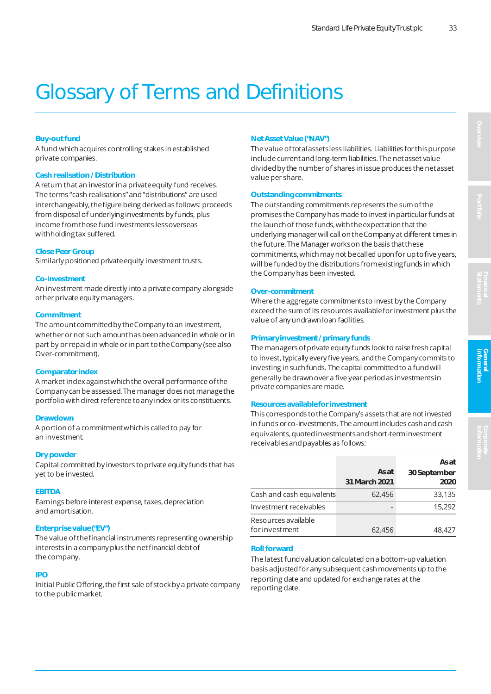# Glossary of Terms and Definitions

#### **Buy-out fund**

A fund which acquires controlling stakes in established private companies.

#### **Cash realisation / Distribution**

A return that an investor in a private equity fund receives. The terms "cash realisations" and "distributions" are used interchangeably, the figure being derived as follows: proceeds from disposal of underlying investments by funds, plus income from those fund investments less overseas withholding tax suffered.

#### **Close Peer Group**

Similarly positioned private equity investment trusts.

#### **Co-investment**

An investment made directly into a private company alongside other private equity managers.

#### **Commitment**

The amount committed by the Company to an investment, whether or not such amount has been advanced in whole or in part by or repaid in whole or in part to the Company (see also Over-commitment).

#### **Comparator index**

A market index against which the overall performance of the Company can be assessed. The manager does not manage the portfolio with direct reference to any index or its constituents.

#### **Drawdown**

A portion of a commitment which is called to pay for an investment.

#### **Dry powder**

Capital committed by investors to private equity funds that has yet to be invested.

#### **EBITDA**

Earnings before interest expense, taxes, depreciation and amortisation.

#### **Enterprise value ("EV")**

The value of the financial instruments representing ownership interests in a company plus the net financial debt of the company.

#### **IPO**

Initial Public Offering, the first sale of stock by a private company to the public market.

#### **Net Asset Value ("NAV")**

The value of total assets less liabilities. Liabilities for this purpose include current and long-term liabilities. The net asset value divided by the number of shares in issue produces the net asset value per share.

#### **Outstanding commitments**

The outstanding commitments represents the sum of the promises the Company has made to invest in particular funds at the launch of those funds, with the expectation that the underlying manager will call on the Company at different times in the future. The Manager works on the basis that these commitments, which may not be called upon for up to five years, will be funded by the distributions from existing funds in which the Company has been invested.

#### **Over-commitment**

Where the aggregate commitments to invest by the Company exceed the sum of its resources available for investment plus the value of any undrawn loan facilities.

#### **Primary investment / primary funds**

The managers of private equity funds look to raise fresh capital to invest, typically every five years, and the Company commits to investing in such funds. The capital committed to a fund will generally be drawn over a five year period as investments in private companies are made.

#### **Resources available for investment**

This corresponds to the Company's assets that are not invested in funds or co-investments. The amount includes cash and cash equivalents, quoted investments and short-term investment receivables and payables as follows:

|                                       |                        | As at                |
|---------------------------------------|------------------------|----------------------|
|                                       | As at<br>31 March 2021 | 30 September<br>2020 |
| Cash and cash equivalents             | 62,456                 | 33,135               |
| Investment receivables                |                        | 15,292               |
| Resources available<br>for investment | 62,456                 | 48.427               |

#### **Roll forward**

The latest fund valuation calculated on a bottom-up valuation basis adjusted for any subsequent cash movements up to the reporting date and updated for exchange rates at the reporting date.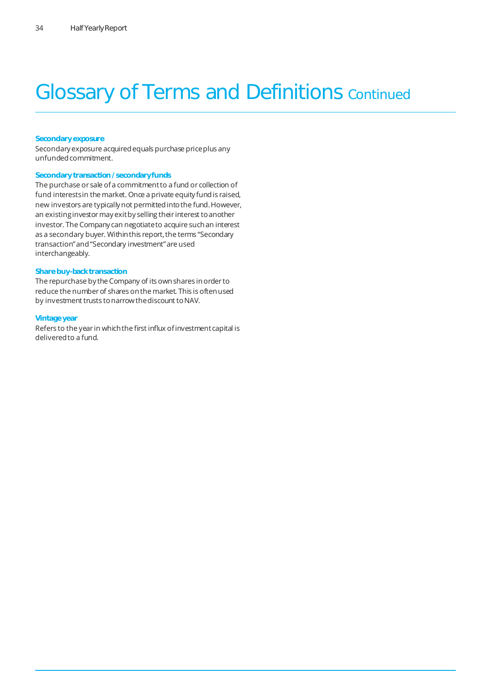# Glossary of Terms and Definitions Continued

#### **Secondary exposure**

Secondary exposure acquired equals purchase price plus any unfunded commitment.

#### **Secondary transaction / secondary funds**

The purchase or sale of a commitment to a fund or collection of fund interests in the market. Once a private equity fund is raised, new investors are typically not permitted into the fund. However, an existing investor may exit by selling their interest to another investor. The Company can negotiate to acquire such an interest as a secondary buyer. Within this report, the terms "Secondary transaction" and "Secondary investment" are used interchangeably.

#### **Share buy-back transaction**

The repurchase by the Company of its own shares in order to reduce the number of shares on the market. This is often used by investment trusts to narrow the discount to NAV.

#### **Vintage year**

Refers to the year in which the first influx of investment capital is delivered to a fund.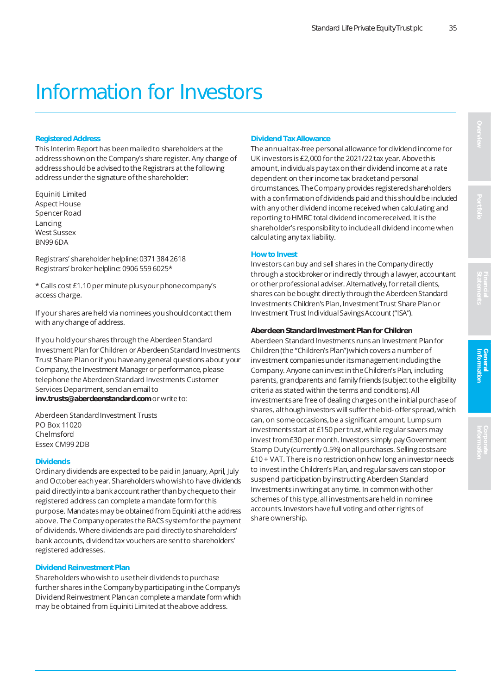### Information for Investors

#### **Registered Address**

This Interim Report has been mailed to shareholders at the address shown on the Company's share register. Any change of address should be advised to the Registrars at the following address under the signature of the shareholder:

Equiniti Limited Aspect House Spencer Road Lancing West Sussex BN99 6DA

Registrars' shareholder helpline: 0371 384 2618 Registrars' broker helpline: 0906 559 6025\*

\* Calls cost £1.10 per minute plus your phone company's access charge.

If your shares are held via nominees you should contact them with any change of address.

If you hold your shares through the Aberdeen Standard Investment Plan for Children or Aberdeen Standard Investments Trust Share Plan or if you have any general questions about your Company, the Investment Manager or performance, please telephone the Aberdeen Standard Investments Customer Services Department, send an email to **inv.trusts@aberdeenstandard.com** or write to:

Aberdeen Standard Investment Trusts PO Box 11020 Chelmsford Essex CM99 2DB

#### **Dividends**

Ordinary dividends are expected to be paid in January, April, July and October each year. Shareholders who wish to have dividends paid directly into a bank account rather than by cheque to their registered address can complete a mandate form for this purpose. Mandates may be obtained from Equiniti at the address above. The Company operates the BACS system for the payment of dividends. Where dividends are paid directly to shareholders' bank accounts, dividend tax vouchers are sent to shareholders' registered addresses.

#### **Dividend Reinvestment Plan**

Shareholders who wish to use their dividends to purchase further shares in the Company by participating in the Company's Dividend Reinvestment Plan can complete a mandate form which may be obtained from Equiniti Limited at the above address.

#### **Dividend Tax Allowance**

The annual tax-free personal allowance for dividend income for UK investors is £2,000 for the 2021/22 tax year. Above this amount, individuals pay tax on their dividend income at a rate dependent on their income tax bracket and personal circumstances. The Company provides registered shareholders with a confirmation of dividends paid and this should be included with any other dividend income received when calculating and reporting to HMRC total dividend income received. It is the shareholder's responsibility to include all dividend income when calculating any tax liability.

#### **How to Invest**

Investors can buy and sell shares in the Company directly through a stockbroker or indirectly through a lawyer, accountant or other professional adviser. Alternatively, for retail clients, shares can be bought directly through the Aberdeen Standard Investments Children's Plan, Investment Trust Share Plan or Investment Trust Individual Savings Account ("ISA").

**Aberdeen Standard Investment Plan for Children** 

Aberdeen Standard Investments runs an Investment Plan for Children (the "Children's Plan") which covers a number of investment companies under its management including the Company. Anyone can invest in the Children's Plan, including parents, grandparents and family friends (subject to the eligibility criteria as stated within the terms and conditions). All investments are free of dealing charges on the initial purchase of shares, although investors will suffer the bid- offer spread, which can, on some occasions, be a significant amount. Lump sum investments start at £150 per trust, while regular savers may invest from £30 per month. Investors simply pay Government Stamp Duty (currently 0.5%) on all purchases. Selling costs are £10 + VAT. There is no restriction on how long an investor needs to invest in the Children's Plan, and regular savers can stop or suspend participation by instructing Aberdeen Standard Investments in writing at any time. In common with other schemes of this type, all investments are held in nominee accounts. Investors have full voting and other rights of share ownership.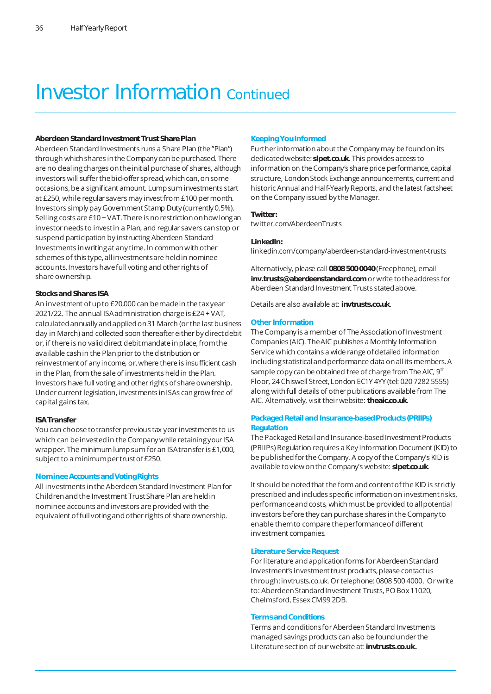### Investor Information Continued

#### **Aberdeen Standard Investment Trust Share Plan**

Aberdeen Standard Investments runs a Share Plan (the "Plan") through which shares in the Company can be purchased. There are no dealing charges on the initial purchase of shares, although investors will suffer the bid-offer spread, which can, on some occasions, be a significant amount. Lump sum investments start at £250, while regular savers may invest from £100 per month. Investors simply pay Government Stamp Duty (currently 0.5%). Selling costs are £10 + VAT. There is no restriction on how long an investor needs to invest in a Plan, and regular savers can stop or suspend participation by instructing Aberdeen Standard Investments in writing at any time. In common with other schemes of this type, all investments are held in nominee accounts. Investors have full voting and other rights of share ownership.

#### **Stocks and Shares ISA**

An investment of up to £20,000 can be made in the tax year 2021/22. The annual ISA administration charge is £24 + VAT, calculated annually and applied on 31 March (or the last business day in March) and collected soon thereafter either by direct debit or, if there is no valid direct debit mandate in place, from the available cash in the Plan prior to the distribution or reinvestment of any income, or, where there is insufficient cash in the Plan, from the sale of investments held in the Plan. Investors have full voting and other rights of share ownership. Under current legislation, investments in ISAs can grow free of capital gains tax.

#### **ISA Transfer**

You can choose to transfer previous tax year investments to us which can be invested in the Company while retaining your ISA wrapper. The minimum lump sum for an ISA transfer is £1,000, subject to a minimum per trust of £250.

#### **Nominee Accounts and Voting Rights**

All investments in the Aberdeen Standard Investment Plan for Children and the Investment Trust Share Plan are held in nominee accounts and investors are provided with the equivalent of full voting and other rights of share ownership.

#### **Keeping You Informed**

Further information about the Company may be found on its dedicated website: **slpet.co.uk**. This provides access to information on the Company's share price performance, capital structure, London Stock Exchange announcements, current and historic Annual and Half-Yearly Reports, and the latest factsheet on the Company issued by the Manager.

#### **Twitter:**

twitter.com/AberdeenTrusts

#### **LinkedIn:**

linkedin.com/company/aberdeen-standard-investment-trusts

Alternatively, please call **0808 500 0040** (Freephone), email **inv.trusts@aberdeenstandard.com** or write to the address for Aberdeen Standard Investment Trusts stated above.

Details are also available at: **invtrusts.co.uk**.

#### **Other Information**

The Company is a member of The Association of Investment Companies (AIC). The AIC publishes a Monthly Information Service which contains a wide range of detailed information including statistical and performance data on all its members. A sample copy can be obtained free of charge from The AIC, 9<sup>th</sup> Floor, 24 Chiswell Street, London EC1Y 4YY (tel: 020 7282 5555) along with full details of other publications available from The AIC. Alternatively, visit their website: **theaic.co.uk**.

#### **Packaged Retail and Insurance-based Products (PRIIPs) Regulation**

The Packaged Retail and Insurance-based Investment Products (PRIIPs) Regulation requires a Key Information Document (KID) to be published for the Company. A copy of the Company's KID is available to view on the Company's website: **slpet.co.uk**.

It should be noted that the form and content of the KID is strictly prescribed and includes specific information on investment risks, performance and costs, which must be provided to all potential investors before they can purchase shares in the Company to enable them to compare the performance of different investment companies.

#### **Literature Service Request**

For literature and application forms for Aberdeen Standard Investment's investment trust products, please contact us through: invtrusts.co.uk. Or telephone: 0808 500 4000. Or write to: Aberdeen Standard Investment Trusts, PO Box 11020, Chelmsford, Essex CM99 2DB.

#### **Terms and Conditions**

Terms and conditions for Aberdeen Standard Investments managed savings products can also be found under the Literature section of our website at: **invtrusts.co.uk.**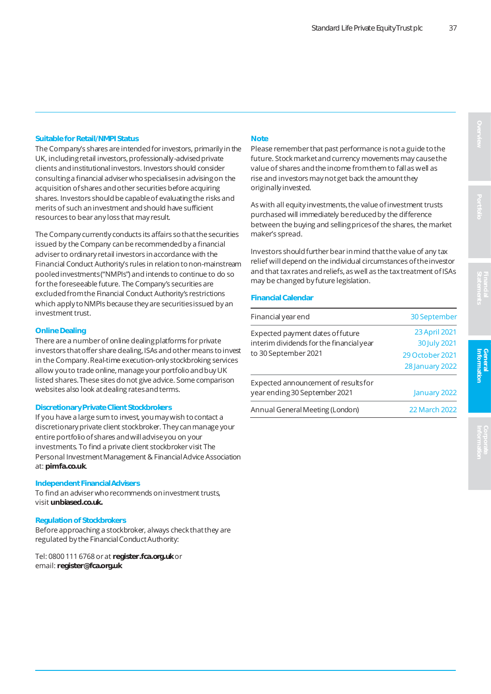#### **Suitable for Retail/NMPI Status**

The Company's shares are intended for investors, primarily in the UK, including retail investors, professionally-advised private clients and institutional investors. Investors should consider consulting a financial adviser who specialises in advising on the acquisition of shares and other securities before acquiring shares. Investors should be capable of evaluating the risks and merits of such an investment and should have sufficient resources to bear any loss that may result.

The Company currently conducts its affairs so that the securities issued by the Company can be recommended by a financial adviser to ordinary retail investors in accordance with the Financial Conduct Authority's rules in relation to non-mainstream pooled investments ("NMPIs") and intends to continue to do so for the foreseeable future. The Company's securities are excluded from the Financial Conduct Authority's restrictions which apply to NMPIs because they are securities issued by an investment trust.

#### **Online Dealing**

There are a number of online dealing platforms for private investors that offer share dealing, ISAs and other means to invest in the Company. Real-time execution-only stockbroking services allow you to trade online, manage your portfolio and buy UK listed shares. These sites do not give advice. Some comparison websites also look at dealing rates and terms.

#### **Discretionary Private Client Stockbrokers**

If you have a large sum to invest, you may wish to contact a discretionary private client stockbroker. They can manage your entire portfolio of shares and will advise you on your investments. To find a private client stockbroker visit The Personal Investment Management & Financial Advice Association at: **pimfa.co.uk**.

#### **Independent Financial Advisers**

To find an adviser who recommends on investment trusts, visit **unbiased.co.uk.**

#### **Regulation of Stockbrokers**

Before approaching a stockbroker, always check that they are regulated by the Financial Conduct Authority:

Tel: 0800 111 6768 or at **register.fca.org.uk** or email: **register@fca.org.uk**

#### **Note**

Please remember that past performance is not a guide to the future. Stock market and currency movements may cause the value of shares and the income from them to fall as well as rise and investors may not get back the amount they originally invested.

As with all equity investments, the value of investment trusts purchased will immediately be reduced by the difference between the buying and selling prices of the shares, the market maker's spread.

Investors should further bear in mind that the value of any tax relief will depend on the individual circumstances of the investor and that tax rates and reliefs, as well as the tax treatment of ISAs may be changed by future legislation.

#### **Financial Calendar**

| Financial year end                                                           | 30 September                       |
|------------------------------------------------------------------------------|------------------------------------|
| Expected payment dates of future<br>interim dividends for the financial year | 23 April 2021<br>30 July 2021      |
| to 30 September 2021                                                         | 29 October 2021<br>28 January 2022 |
| Expected announcement of results for<br>year ending 30 September 2021        | January 2022                       |
| Annual General Meeting (London)                                              | 22 March 2022                      |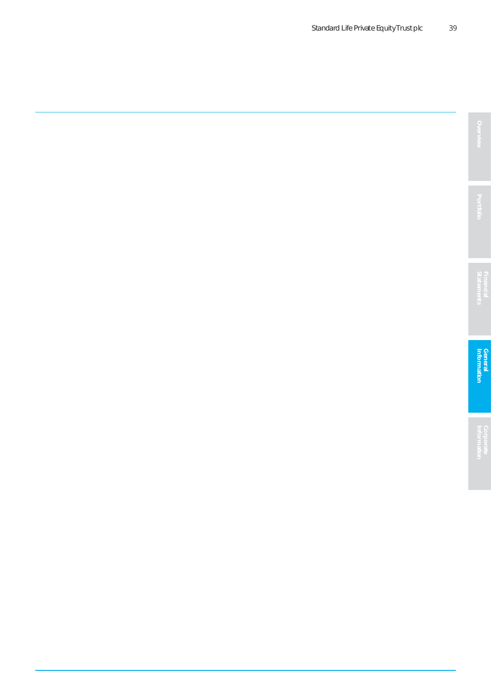Standard Life Private Equity Trust plc 39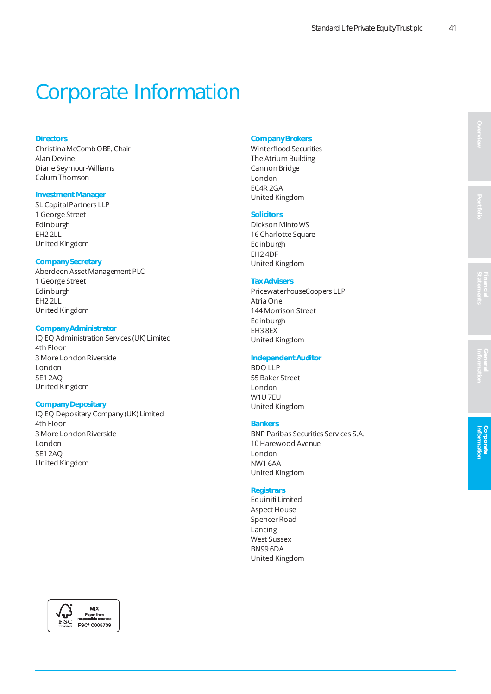### Corporate Information

#### **Directors**

Christina McComb OBE, Chair Alan Devine Diane Seymour-Williams Calum Thomson

#### **Investment Manager**

SL Capital Partners LLP 1 George Street Edinburgh EH2 2LL United Kingdom

#### **Company Secretary**

Aberdeen Asset Management PLC 1 George Street Edinburgh EH2 2LL United Kingdom

#### **Company Administrator**

IQ EQ Administration Services (UK) Limited 4th Floor 3 More London Riverside London SE1 2AQ United Kingdom

#### **Company Depositary**

IQ EQ Depositary Company (UK) Limited 4th Floor 3 More London Riverside London SE1 2AQ United Kingdom



#### **Company Brokers**

Winterflood Securities The Atrium Building Cannon Bridge London EC4R 2GA United Kingdom

#### **Solicitors**

Dickson Minto WS 16 Charlotte Square Edinburgh EH2 4DF United Kingdom

#### **Tax Advisers**

PricewaterhouseCoopers LLP Atria One 144 Morrison Street Edinburgh EH3 8EX United Kingdom

#### **Independent Auditor**

BDO LLP 55 Baker Street London W1U 7EU United Kingdom

#### **Bankers**

BNP Paribas Securities Services S.A. 10 Harewood Avenue London NW1 6AA United Kingdom

#### **Registrars**

Equiniti Limited Aspect House Spencer Road Lancing West Sussex BN99 6DA United Kingdom